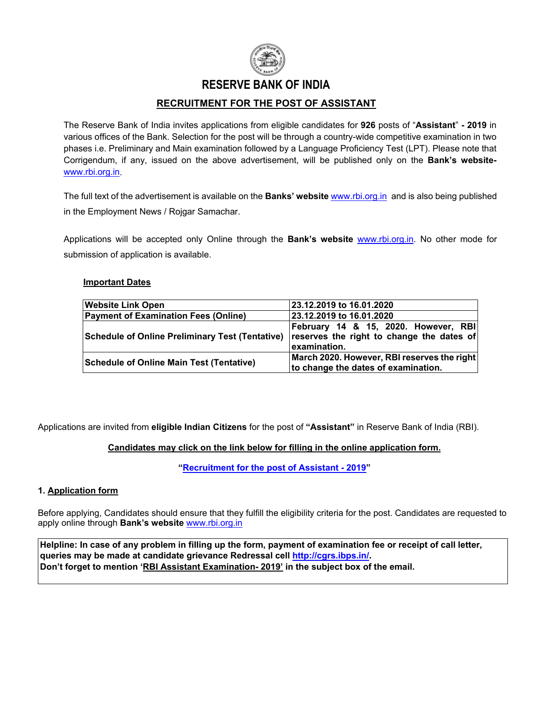

## **RESERVE BANK OF INDIA**

## **RECRUITMENT FOR THE POST OF ASSISTANT**

The Reserve Bank of India invites applications from eligible candidates for **926** posts of "**Assistant**" **- 2019** in various offices of the Bank. Selection for the post will be through a country-wide competitive examination in two phases i.e. Preliminary and Main examination followed by a Language Proficiency Test (LPT). Please note that Corrigendum, if any, issued on the above advertisement, will be published only on the **Bank's website**[www.rbi.org.in.](https://www.rbi.org.in/)

The [full text of the advertisement](https://rbi.org.in/scripts/bs_viewcontent.aspx?Id=2855#ANN) is available on the **Banks' website** [www.rbi.org.in](https://www.rbi.org.in/) and is also being published in the Employment News / Rojgar Samachar.

Applications will be accepted only Online through the **Bank's website** [www.rbi.org.in.](https://www.rbi.org.in/) No other mode for submission of application is available.

#### **Important Dates**

| <b>Website Link Open</b>                               | 23.12.2019 to 16.01.2020                    |  |
|--------------------------------------------------------|---------------------------------------------|--|
| <b>Payment of Examination Fees (Online)</b>            | 23.12.2019 to 16.01.2020                    |  |
|                                                        | February 14 & 15, 2020. However, RBI        |  |
| <b>Schedule of Online Preliminary Test (Tentative)</b> | reserves the right to change the dates of   |  |
|                                                        | examination.                                |  |
| Schedule of Online Main Test (Tentative)               | March 2020. However, RBI reserves the right |  |
|                                                        | to change the dates of examination.         |  |

Applications are invited from **eligible Indian Citizens** for the post of **"Assistant"** in Reserve Bank of India (RBI).

### **Candidates may click on the link below for filling in the online application form.**

**["Recruitment for the post of Assistant](https://ibpsonline.ibps.in/rbiasstnov19/) - 2019"**

#### **1. Application form**

Before applying, Candidates should ensure that they fulfill the eligibility criteria for the post. Candidates are requested to apply online through **Bank's website** [www.rbi.org.in](https://www.rbi.org.in/)

**Helpline: In case of any problem in filling up the form, payment of examination fee or receipt of call letter, queries may be made at candidate grievance Redressal cell [http://cgrs.ibps.in/](https://cgrs.ibps.in/)[.](https://cgrs.ibps.in/) Don't forget to mention 'RBI Assistant Examination- 2019' in the subject box of the email.**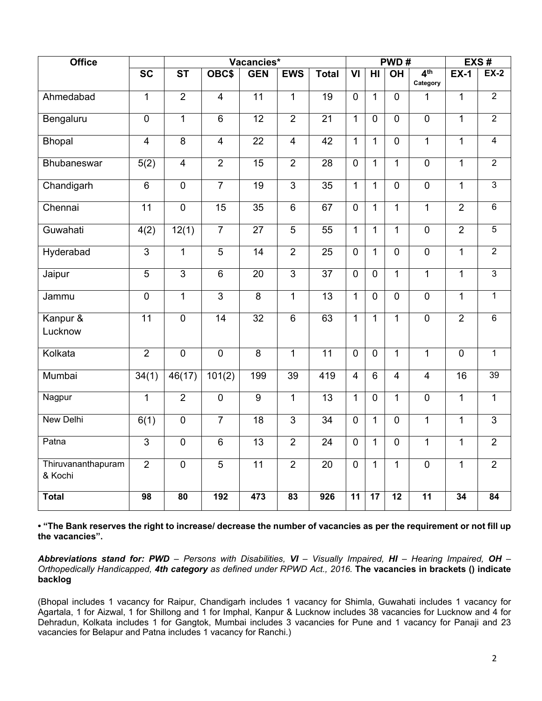| <b>Office</b>                 |                         |                        |                 | Vacancies*      |                         |                 |                         |                 | PWD#           |                             |                 | EXS#            |
|-------------------------------|-------------------------|------------------------|-----------------|-----------------|-------------------------|-----------------|-------------------------|-----------------|----------------|-----------------------------|-----------------|-----------------|
|                               | $\overline{SC}$         | $\overline{\text{ST}}$ | OBC\$           | <b>GEN</b>      | <b>EWS</b>              | <b>Total</b>    | $\overline{\mathsf{M}}$ | HI              | <b>OH</b>      | 4 <sup>th</sup><br>Category | <b>EX-1</b>     | $EX-2$          |
| Ahmedabad                     | $\overline{1}$          | $\overline{2}$         | $\overline{4}$  | $\overline{11}$ | $\overline{1}$          | 19              | $\mathbf 0$             | $\mathbf{1}$    | $\Omega$       | $\mathbf{1}$                | $\overline{1}$  | $\overline{2}$  |
| Bengaluru                     | $\overline{0}$          | $\overline{1}$         | $6\phantom{1}$  | $\overline{12}$ | $\overline{2}$          | $\overline{21}$ | $\mathbf{1}$            | $\overline{0}$  | $\mathbf 0$    | $\overline{0}$              | $\mathbf{1}$    | $\overline{2}$  |
| <b>Bhopal</b>                 | $\overline{\mathbf{4}}$ | $\overline{8}$         | $\overline{4}$  | 22              | $\overline{\mathbf{4}}$ | $\overline{42}$ | $\mathbf{1}$            | $\mathbf{1}$    | $\mathbf 0$    | $\overline{1}$              | $\mathbf{1}$    | $\overline{4}$  |
| Bhubaneswar                   | 5(2)                    | $\overline{4}$         | $\overline{2}$  | $\overline{15}$ | $\overline{2}$          | $\overline{28}$ | $\overline{0}$          | $\overline{1}$  | $\overline{1}$ | $\overline{0}$              | $\overline{1}$  | $\overline{2}$  |
| Chandigarh                    | $\overline{6}$          | $\mathbf 0$            | $\overline{7}$  | $\overline{19}$ | $\overline{3}$          | $\overline{35}$ | $\mathbf{1}$            | $\mathbf{1}$    | $\mathbf 0$    | $\overline{0}$              | $\mathbf{1}$    | $\overline{3}$  |
| Chennai                       | 11                      | $\mathbf 0$            | 15              | 35              | 6                       | 67              | $\overline{0}$          | $\mathbf{1}$    | $\mathbf{1}$   | $\mathbf{1}$                | $\overline{2}$  | $\overline{6}$  |
| Guwahati                      | 4(2)                    | 12(1)                  | $\overline{7}$  | 27              | $\overline{5}$          | $\overline{55}$ | $\overline{1}$          | $\mathbf{1}$    | $\overline{1}$ | $\overline{0}$              | $\overline{2}$  | $\overline{5}$  |
| Hyderabad                     | $\overline{3}$          | $\overline{1}$         | $\overline{5}$  | $\overline{14}$ | $\overline{2}$          | $\overline{25}$ | $\mathbf 0$             | $\mathbf{1}$    | $\mathbf 0$    | $\overline{0}$              | $\overline{1}$  | $\overline{2}$  |
| Jaipur                        | $\overline{5}$          | $\overline{3}$         | $\overline{6}$  | 20              | $\overline{3}$          | $\overline{37}$ | $\mathbf 0$             | $\Omega$        | $\mathbf{1}$   | $\overline{1}$              | $\mathbf{1}$    | $\overline{3}$  |
| Jammu                         | $\overline{0}$          | $\overline{1}$         | $\overline{3}$  | $\overline{8}$  | $\mathbf{1}$            | $\overline{13}$ | $\mathbf{1}$            | $\overline{0}$  | $\mathbf 0$    | $\mathbf 0$                 | 1               | $\overline{1}$  |
| Kanpur &<br>Lucknow           | $\overline{11}$         | $\overline{0}$         | $\overline{14}$ | $\overline{32}$ | $\overline{6}$          | 63              | $\overline{1}$          | $\mathbf{1}$    | $\overline{1}$ | $\overline{0}$              | $\overline{2}$  | 6               |
| Kolkata                       | $\overline{2}$          | $\mathbf 0$            | $\mathbf 0$     | 8               | $\mathbf{1}$            | 11              | $\overline{0}$          | $\overline{0}$  | $\mathbf{1}$   | $\mathbf{1}$                | $\mathbf 0$     | $\overline{1}$  |
| Mumbai                        | 34(1)                   | 46(17)                 | 101(2)          | 199             | $\overline{39}$         | 419             | $\overline{4}$          | 6               | $\overline{4}$ | $\overline{4}$              | $\overline{16}$ | 39              |
| Nagpur                        | $\mathbf{1}$            | $\overline{2}$         | $\mathbf 0$     | $\overline{9}$  | $\mathbf{1}$            | 13              | $\mathbf{1}$            | $\overline{0}$  | $\mathbf{1}$   | $\overline{0}$              | $\mathbf{1}$    | $\mathbf{1}$    |
| <b>New Delhi</b>              | 6(1)                    | $\mathbf 0$            | $\overline{7}$  | 18              | 3                       | $\overline{34}$ | $\mathbf 0$             | $\mathbf{1}$    | $\mathbf 0$    | $\overline{1}$              | $\mathbf{1}$    | $\mathfrak{S}$  |
| Patna                         | $\overline{3}$          | $\overline{0}$         | $\overline{6}$  | $\overline{13}$ | $\overline{2}$          | $\overline{24}$ | $\overline{0}$          | $\mathbf{1}$    | $\mathbf 0$    | $\overline{1}$              | $\overline{1}$  | $\overline{2}$  |
| Thiruvananthapuram<br>& Kochi | $\overline{2}$          | $\overline{0}$         | $\overline{5}$  | $\overline{11}$ | $\overline{2}$          | $\overline{20}$ | $\overline{0}$          | $\overline{1}$  | $\overline{1}$ | $\overline{0}$              | $\overline{1}$  | $\overline{2}$  |
| <b>Total</b>                  | $\overline{98}$         | $\overline{80}$        | 192             | 473             | $\overline{83}$         | 926             | 11                      | $\overline{17}$ | 12             | $\overline{11}$             | 34              | $\overline{84}$ |

**• "The Bank reserves the right to increase/ decrease the number of vacancies as per the requirement or not fill up the vacancies".**

*Abbreviations stand for: PWD – Persons with Disabilities, VI – Visually Impaired, HI – Hearing Impaired, OH – Orthopedically Handicapped, 4th category as defined under RPWD Act., 2016.* **The vacancies in brackets () indicate backlog**

(Bhopal includes 1 vacancy for Raipur, Chandigarh includes 1 vacancy for Shimla, Guwahati includes 1 vacancy for Agartala, 1 for Aizwal, 1 for Shillong and 1 for Imphal, Kanpur & Lucknow includes 38 vacancies for Lucknow and 4 for Dehradun, Kolkata includes 1 for Gangtok, Mumbai includes 3 vacancies for Pune and 1 vacancy for Panaji and 23 vacancies for Belapur and Patna includes 1 vacancy for Ranchi.)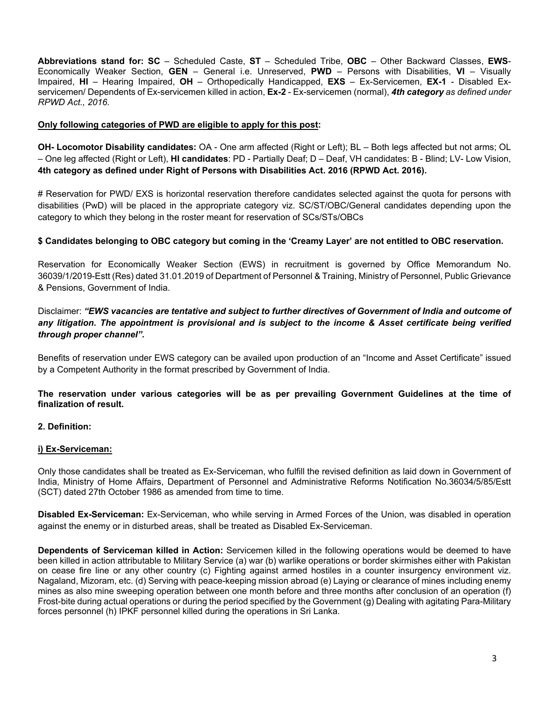**Abbreviations stand for: SC** – Scheduled Caste, **ST** – Scheduled Tribe, **OBC** – Other Backward Classes, **EWS**-Economically Weaker Section, **GEN** – General i.e. Unreserved, **PWD** – Persons with Disabilities, **VI** – Visually Impaired, **HI** – Hearing Impaired, **OH** – Orthopedically Handicapped, **EXS** – Ex-Servicemen, **EX-1** - Disabled Exservicemen/ Dependents of Ex-servicemen killed in action, **Ex-2** - Ex-servicemen (normal), *4th category as defined under RPWD Act., 2016.*

#### **Only following categories of PWD are eligible to apply for this post:**

**OH- Locomotor Disability candidates:** OA - One arm affected (Right or Left); BL – Both legs affected but not arms; OL – One leg affected (Right or Left), **HI candidates**: PD - Partially Deaf; D – Deaf, VH candidates: B - Blind; LV- Low Vision, **4th category as defined under Right of Persons with Disabilities Act. 2016 (RPWD Act. 2016).**

# Reservation for PWD/ EXS is horizontal reservation therefore candidates selected against the quota for persons with disabilities (PwD) will be placed in the appropriate category viz. SC/ST/OBC/General candidates depending upon the category to which they belong in the roster meant for reservation of SCs/STs/OBCs

### **\$ Candidates belonging to OBC category but coming in the 'Creamy Layer' are not entitled to OBC reservation.**

Reservation for Economically Weaker Section (EWS) in recruitment is governed by Office Memorandum No. 36039/1/2019-Estt (Res) dated 31.01.2019 of Department of Personnel & Training, Ministry of Personnel, Public Grievance & Pensions, Government of India.

## Disclaimer: *"EWS vacancies are tentative and subject to further directives of Government of India and outcome of any litigation. The appointment is provisional and is subject to the income & Asset certificate being verified through proper channel".*

Benefits of reservation under EWS category can be availed upon production of an "Income and Asset Certificate" issued by a Competent Authority in the format prescribed by Government of India.

#### **The reservation under various categories will be as per prevailing Government Guidelines at the time of finalization of result.**

### **2. Definition:**

#### **i) Ex-Serviceman:**

Only those candidates shall be treated as Ex-Serviceman, who fulfill the revised definition as laid down in Government of India, Ministry of Home Affairs, Department of Personnel and Administrative Reforms Notification No.36034/5/85/Estt (SCT) dated 27th October 1986 as amended from time to time.

**Disabled Ex-Serviceman:** Ex-Serviceman, who while serving in Armed Forces of the Union, was disabled in operation against the enemy or in disturbed areas, shall be treated as Disabled Ex-Serviceman.

**Dependents of Serviceman killed in Action:** Servicemen killed in the following operations would be deemed to have been killed in action attributable to Military Service (a) war (b) warlike operations or border skirmishes either with Pakistan on cease fire line or any other country (c) Fighting against armed hostiles in a counter insurgency environment viz. Nagaland, Mizoram, etc. (d) Serving with peace-keeping mission abroad (e) Laying or clearance of mines including enemy mines as also mine sweeping operation between one month before and three months after conclusion of an operation (f) Frost-bite during actual operations or during the period specified by the Government (g) Dealing with agitating Para-Military forces personnel (h) IPKF personnel killed during the operations in Sri Lanka.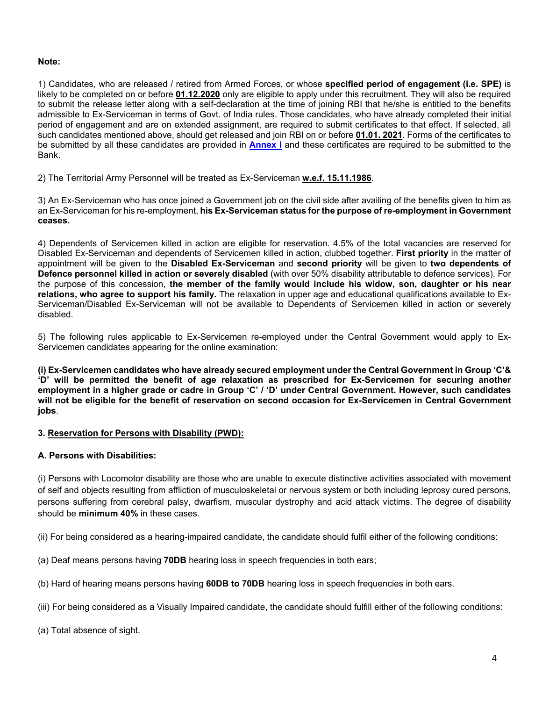#### **Note:**

1) Candidates, who are released / retired from Armed Forces, or whose **specified period of engagement (i.e. SPE)** is likely to be completed on or before **01.12.2020** only are eligible to apply under this recruitment. They will also be required to submit the release letter along with a self-declaration at the time of joining RBI that he/she is entitled to the benefits admissible to Ex-Serviceman in terms of Govt. of India rules. Those candidates, who have already completed their initial period of engagement and are on extended assignment, are required to submit certificates to that effect. If selected, all such candidates mentioned above, should get released and join RBI on or before **01.01. 2021**. Forms of the certificates to be submitted by all these candidates are provided in **[Annex I](#page-21-0)** and these certificates are required to be submitted to the Bank.

2) The Territorial Army Personnel will be treated as Ex-Serviceman **w.e.f. 15.11.1986**.

3) An Ex-Serviceman who has once joined a Government job on the civil side after availing of the benefits given to him as an Ex-Serviceman for his re-employment, **his Ex-Serviceman status for the purpose of re-employment in Government ceases.**

4) Dependents of Servicemen killed in action are eligible for reservation. 4.5% of the total vacancies are reserved for Disabled Ex-Serviceman and dependents of Servicemen killed in action, clubbed together. **First priority** in the matter of appointment will be given to the **Disabled Ex-Serviceman** and **second priority** will be given to **two dependents of Defence personnel killed in action or severely disabled** (with over 50% disability attributable to defence services). For the purpose of this concession, **the member of the family would include his widow, son, daughter or his near relations, who agree to support his family.** The relaxation in upper age and educational qualifications available to Ex-Serviceman/Disabled Ex-Serviceman will not be available to Dependents of Servicemen killed in action or severely disabled.

5) The following rules applicable to Ex-Servicemen re-employed under the Central Government would apply to Ex-Servicemen candidates appearing for the online examination:

**(i) Ex-Servicemen candidates who have already secured employment under the Central Government in Group 'C'& 'D' will be permitted the benefit of age relaxation as prescribed for Ex-Servicemen for securing another employment in a higher grade or cadre in Group 'C' / 'D' under Central Government. However, such candidates will not be eligible for the benefit of reservation on second occasion for Ex-Servicemen in Central Government jobs**.

### **3. Reservation for Persons with Disability (PWD):**

### **A. Persons with Disabilities:**

(i) Persons with Locomotor disability are those who are unable to execute distinctive activities associated with movement of self and objects resulting from affliction of musculoskeletal or nervous system or both including leprosy cured persons, persons suffering from cerebral palsy, dwarfism, muscular dystrophy and acid attack victims. The degree of disability should be **minimum 40%** in these cases.

(ii) For being considered as a hearing-impaired candidate, the candidate should fulfil either of the following conditions:

(a) Deaf means persons having **70DB** hearing loss in speech frequencies in both ears;

(b) Hard of hearing means persons having **60DB to 70DB** hearing loss in speech frequencies in both ears.

(iii) For being considered as a Visually Impaired candidate, the candidate should fulfill either of the following conditions:

(a) Total absence of sight.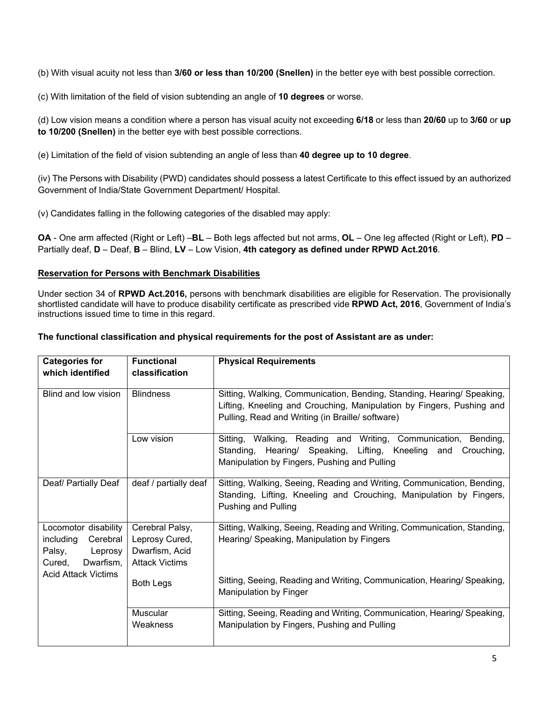(b) With visual acuity not less than **3/60 or less than 10/200 (Snellen)** in the better eye with best possible correction.

(c) With limitation of the field of vision subtending an angle of **10 degrees** or worse.

(d) Low vision means a condition where a person has visual acuity not exceeding **6/18** or less than **20/60** up to **3/60** or **up to 10/200 (Snellen)** in the better eye with best possible corrections.

(e) Limitation of the field of vision subtending an angle of less than **40 degree up to 10 degree**.

(iv) The Persons with Disability (PWD) candidates should possess a latest Certificate to this effect issued by an authorized Government of India/State Government Department/ Hospital.

(v) Candidates falling in the following categories of the disabled may apply:

**OA** - One arm affected (Right or Left) –**BL** – Both legs affected but not arms, **OL** – One leg affected (Right or Left), **PD** – Partially deaf, **D** – Deaf, **B** – Blind, **LV** – Low Vision, **4th category as defined under RPWD Act.2016**.

## **Reservation for Persons with Benchmark Disabilities**

Under section 34 of **RPWD Act.2016,** persons with benchmark disabilities are eligible for Reservation. The provisionally shortlisted candidate will have to produce disability certificate as prescribed vide **RPWD Act, 2016**, Government of India's instructions issued time to time in this regard.

### **The functional classification and physical requirements for the post of Assistant are as under:**

| <b>Categories for</b><br>which identified                                                 | <b>Functional</b><br>classification                                          | <b>Physical Requirements</b>                                                                                                                                                                        |
|-------------------------------------------------------------------------------------------|------------------------------------------------------------------------------|-----------------------------------------------------------------------------------------------------------------------------------------------------------------------------------------------------|
| Blind and low vision                                                                      | <b>Blindness</b>                                                             | Sitting, Walking, Communication, Bending, Standing, Hearing/ Speaking,<br>Lifting, Kneeling and Crouching, Manipulation by Fingers, Pushing and<br>Pulling, Read and Writing (in Braille/ software) |
|                                                                                           | Low vision                                                                   | Sitting, Walking, Reading and Writing, Communication,<br>Bending,<br>Standing, Hearing/ Speaking, Lifting, Kneeling and<br>Crouching,<br>Manipulation by Fingers, Pushing and Pulling               |
| Deaf/ Partially Deaf                                                                      | deaf / partially deaf                                                        | Sitting, Walking, Seeing, Reading and Writing, Communication, Bending,<br>Standing, Lifting, Kneeling and Crouching, Manipulation by Fingers,<br><b>Pushing and Pulling</b>                         |
| Locomotor disability<br>including<br>Cerebral<br>Palsy,<br>Leprosy<br>Dwarfism,<br>Cured, | Cerebral Palsy,<br>Leprosy Cured,<br>Dwarfism, Acid<br><b>Attack Victims</b> | Sitting, Walking, Seeing, Reading and Writing, Communication, Standing,<br>Hearing/ Speaking, Manipulation by Fingers                                                                               |
| <b>Acid Attack Victims</b>                                                                | <b>Both Legs</b>                                                             | Sitting, Seeing, Reading and Writing, Communication, Hearing/Speaking,<br><b>Manipulation by Finger</b>                                                                                             |
|                                                                                           | Muscular<br>Weakness                                                         | Sitting, Seeing, Reading and Writing, Communication, Hearing/ Speaking,<br>Manipulation by Fingers, Pushing and Pulling                                                                             |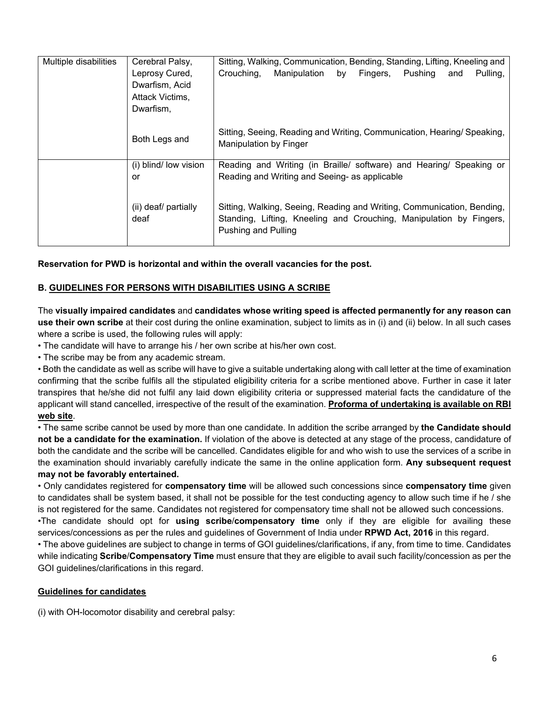| Multiple disabilities | Cerebral Palsy,       | Sitting, Walking, Communication, Bending, Standing, Lifting, Kneeling and                               |  |  |  |  |
|-----------------------|-----------------------|---------------------------------------------------------------------------------------------------------|--|--|--|--|
|                       | Leprosy Cured,        | by Fingers,<br>Pulling,<br>Crouching,<br>Manipulation<br>Pushing<br>and                                 |  |  |  |  |
|                       | Dwarfism, Acid        |                                                                                                         |  |  |  |  |
|                       | Attack Victims,       |                                                                                                         |  |  |  |  |
|                       | Dwarfism,             |                                                                                                         |  |  |  |  |
|                       |                       |                                                                                                         |  |  |  |  |
|                       | Both Legs and         | Sitting, Seeing, Reading and Writing, Communication, Hearing/Speaking,<br><b>Manipulation by Finger</b> |  |  |  |  |
|                       | (i) blind/ low vision | Reading and Writing (in Braille/ software) and Hearing/ Speaking or                                     |  |  |  |  |
|                       | or                    | Reading and Writing and Seeing- as applicable                                                           |  |  |  |  |
|                       | (ii) deaf/ partially  | Sitting, Walking, Seeing, Reading and Writing, Communication, Bending,                                  |  |  |  |  |
|                       | deaf                  | Standing, Lifting, Kneeling and Crouching, Manipulation by Fingers,<br>Pushing and Pulling              |  |  |  |  |

**Reservation for PWD is horizontal and within the overall vacancies for the post.**

## **B. GUIDELINES FOR PERSONS WITH DISABILITIES USING A SCRIBE**

The **visually impaired candidates** and **candidates whose writing speed is affected permanently for any reason can use their own scribe** at their cost during the online examination, subject to limits as in (i) and (ii) below. In all such cases where a scribe is used, the following rules will apply:

• The candidate will have to arrange his / her own scribe at his/her own cost.

• The scribe may be from any academic stream.

• Both the candidate as well as scribe will have to give a suitable undertaking along with call letter at the time of examination confirming that the scribe fulfils all the stipulated eligibility criteria for a scribe mentioned above. Further in case it later transpires that he/she did not fulfil any laid down eligibility criteria or suppressed material facts the candidature of the applicant will stand cancelled, irrespective of the result of the examination. **Proforma of undertaking is available on RBI web site**.

• The same scribe cannot be used by more than one candidate. In addition the scribe arranged by **the Candidate should not be a candidate for the examination.** If violation of the above is detected at any stage of the process, candidature of both the candidate and the scribe will be cancelled. Candidates eligible for and who wish to use the services of a scribe in the examination should invariably carefully indicate the same in the online application form. **Any subsequent request may not be favorably entertained.**

• Only candidates registered for **compensatory time** will be allowed such concessions since **compensatory time** given to candidates shall be system based, it shall not be possible for the test conducting agency to allow such time if he / she is not registered for the same. Candidates not registered for compensatory time shall not be allowed such concessions. •The candidate should opt for **using scribe**/**compensatory time** only if they are eligible for availing these services/concessions as per the rules and guidelines of Government of India under **RPWD Act, 2016** in this regard.

• The above guidelines are subject to change in terms of GOI guidelines/clarifications, if any, from time to time. Candidates while indicating **Scribe**/**Compensatory Time** must ensure that they are eligible to avail such facility/concession as per the GOI guidelines/clarifications in this regard.

### **Guidelines for candidates**

(i) with OH-locomotor disability and cerebral palsy: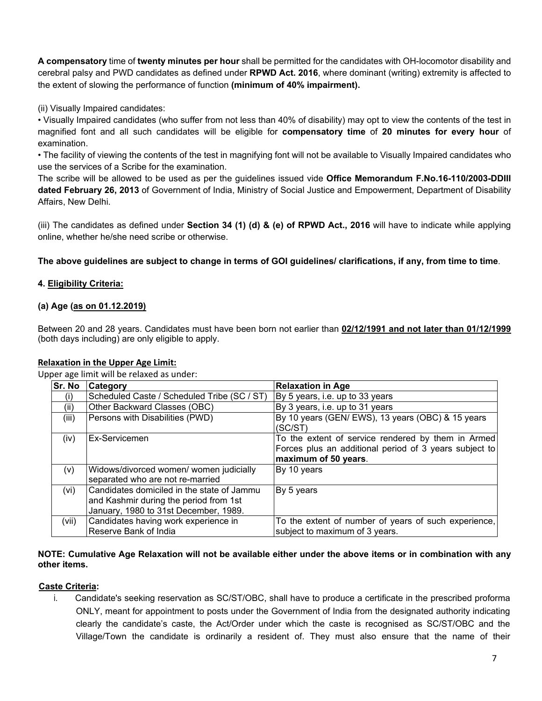**A compensatory** time of **twenty minutes per hour** shall be permitted for the candidates with OH-locomotor disability and cerebral palsy and PWD candidates as defined under **RPWD Act. 2016**, where dominant (writing) extremity is affected to the extent of slowing the performance of function **(minimum of 40% impairment).**

(ii) Visually Impaired candidates:

• Visually Impaired candidates (who suffer from not less than 40% of disability) may opt to view the contents of the test in magnified font and all such candidates will be eligible for **compensatory time** of **20 minutes for every hour** of examination.

• The facility of viewing the contents of the test in magnifying font will not be available to Visually Impaired candidates who use the services of a Scribe for the examination.

The scribe will be allowed to be used as per the guidelines issued vide **Office Memorandum F.No.16-110/2003-DDIII dated February 26, 2013** of Government of India, Ministry of Social Justice and Empowerment, Department of Disability Affairs, New Delhi.

(iii) The candidates as defined under **Section 34 (1) (d) & (e) of RPWD Act., 2016** will have to indicate while applying online, whether he/she need scribe or otherwise.

**The above guidelines are subject to change in terms of GOI guidelines/ clarifications, if any, from time to time**.

## **4. Eligibility Criteria:**

### **(a) Age (as on 01.12.2019)**

Between 20 and 28 years. Candidates must have been born not earlier than **02/12/1991 and not later than 01/12/1999** (both days including) are only eligible to apply.

### **Relaxation in the Upper Age Limit:**

Upper age limit will be relaxed as under:

| Sr. No | Category                                                                                                                      | <b>Relaxation in Age</b>                                                                                                             |
|--------|-------------------------------------------------------------------------------------------------------------------------------|--------------------------------------------------------------------------------------------------------------------------------------|
| (i)    | Scheduled Caste / Scheduled Tribe (SC / ST)                                                                                   | By 5 years, i.e. up to 33 years                                                                                                      |
| (ii)   | Other Backward Classes (OBC)                                                                                                  | By 3 years, i.e. up to 31 years                                                                                                      |
| (iii)  | Persons with Disabilities (PWD)                                                                                               | By 10 years (GEN/EWS), 13 years (OBC) & 15 years<br>(SC/ST)                                                                          |
| (iv)   | Ex-Servicemen                                                                                                                 | To the extent of service rendered by them in Armed<br>Forces plus an additional period of 3 years subject to<br>maximum of 50 years. |
| (v)    | Widows/divorced women/ women judicially<br>separated who are not re-married                                                   | By 10 years                                                                                                                          |
| (vi)   | Candidates domiciled in the state of Jammu<br>and Kashmir during the period from 1st<br>January, 1980 to 31st December, 1989. | By 5 years                                                                                                                           |
| (vii)  | Candidates having work experience in<br>Reserve Bank of India                                                                 | To the extent of number of years of such experience,<br>subject to maximum of 3 years.                                               |

#### **NOTE: Cumulative Age Relaxation will not be available either under the above items or in combination with any other items.**

### **Caste Criteria:**

i. Candidate's seeking reservation as SC/ST/OBC, shall have to produce a certificate in the prescribed proforma ONLY, meant for appointment to posts under the Government of India from the designated authority indicating clearly the candidate's caste, the Act/Order under which the caste is recognised as SC/ST/OBC and the Village/Town the candidate is ordinarily a resident of. They must also ensure that the name of their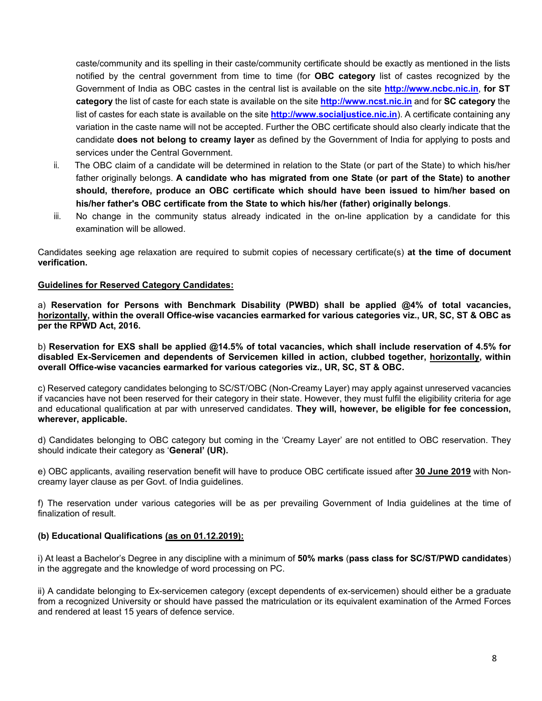caste/community and its spelling in their caste/community certificate should be exactly as mentioned in the lists notified by the central government from time to time (for **OBC category** list of castes recognized by the Government of India as OBC castes in the central list is available on the site **[http://www.ncbc.nic.in](https://www.ncbc.nic.in/)**, **for ST category** the list of caste for each state is available on the site **[http://www.ncst.nic.in](https://www.ncst.nic.in/)** and for **SC category** the list of castes for each state is available on the site **[http://www.socialjustice.nic.in](http://www.socialjustice.nic.in/)**). A certificate containing any variation in the caste name will not be accepted. Further the OBC certificate should also clearly indicate that the candidate **does not belong to creamy layer** as defined by the Government of India for applying to posts and services under the Central Government.

- ii. The OBC claim of a candidate will be determined in relation to the State (or part of the State) to which his/her father originally belongs. **A candidate who has migrated from one State (or part of the State) to another should, therefore, produce an OBC certificate which should have been issued to him/her based on his/her father's OBC certificate from the State to which his/her (father) originally belongs**.
- iii. No change in the community status already indicated in the on-line application by a candidate for this examination will be allowed.

Candidates seeking age relaxation are required to submit copies of necessary certificate(s) **at the time of document verification.**

#### **Guidelines for Reserved Category Candidates:**

a) **Reservation for Persons with Benchmark Disability (PWBD) shall be applied @4% of total vacancies, horizontally, within the overall Office-wise vacancies earmarked for various categories viz., UR, SC, ST & OBC as per the RPWD Act, 2016.**

b) **Reservation for EXS shall be applied @14.5% of total vacancies, which shall include reservation of 4.5% for disabled Ex-Servicemen and dependents of Servicemen killed in action, clubbed together, horizontally, within overall Office-wise vacancies earmarked for various categories viz., UR, SC, ST & OBC.** 

c) Reserved category candidates belonging to SC/ST/OBC (Non-Creamy Layer) may apply against unreserved vacancies if vacancies have not been reserved for their category in their state. However, they must fulfil the eligibility criteria for age and educational qualification at par with unreserved candidates. **They will, however, be eligible for fee concession, wherever, applicable.** 

d) Candidates belonging to OBC category but coming in the 'Creamy Layer' are not entitled to OBC reservation. They should indicate their category as '**General' (UR).**

e) OBC applicants, availing reservation benefit will have to produce OBC certificate issued after **30 June 2019** with Noncreamy layer clause as per Govt. of India guidelines.

f) The reservation under various categories will be as per prevailing Government of India guidelines at the time of finalization of result.

### **(b) Educational Qualifications (as on 01.12.2019):**

i) At least a Bachelor's Degree in any discipline with a minimum of **50% marks** (**pass class for SC/ST/PWD candidates**) in the aggregate and the knowledge of word processing on PC.

ii) A candidate belonging to Ex-servicemen category (except dependents of ex-servicemen) should either be a graduate from a recognized University or should have passed the matriculation or its equivalent examination of the Armed Forces and rendered at least 15 years of defence service.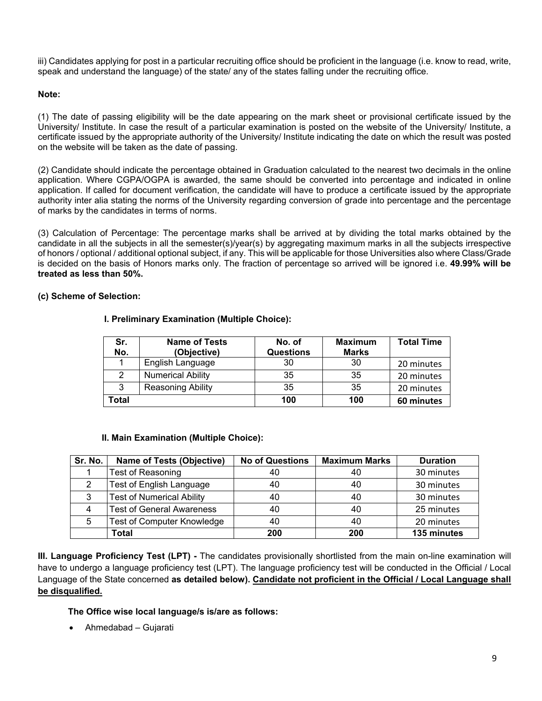iii) Candidates applying for post in a particular recruiting office should be proficient in the language (i.e. know to read, write, speak and understand the language) of the state/ any of the states falling under the recruiting office.

#### **Note:**

(1) The date of passing eligibility will be the date appearing on the mark sheet or provisional certificate issued by the University/ Institute. In case the result of a particular examination is posted on the website of the University/ Institute, a certificate issued by the appropriate authority of the University/ Institute indicating the date on which the result was posted on the website will be taken as the date of passing.

(2) Candidate should indicate the percentage obtained in Graduation calculated to the nearest two decimals in the online application. Where CGPA/OGPA is awarded, the same should be converted into percentage and indicated in online application. If called for document verification, the candidate will have to produce a certificate issued by the appropriate authority inter alia stating the norms of the University regarding conversion of grade into percentage and the percentage of marks by the candidates in terms of norms.

(3) Calculation of Percentage: The percentage marks shall be arrived at by dividing the total marks obtained by the candidate in all the subjects in all the semester(s)/year(s) by aggregating maximum marks in all the subjects irrespective of honors / optional / additional optional subject, if any. This will be applicable for those Universities also where Class/Grade is decided on the basis of Honors marks only. The fraction of percentage so arrived will be ignored i.e. **49.99% will be treated as less than 50%.**

#### **(c) Scheme of Selection:**

| Sr.<br>No. | <b>Name of Tests</b><br>(Objective) | No. of<br><b>Questions</b> | <b>Maximum</b><br><b>Marks</b> | <b>Total Time</b> |
|------------|-------------------------------------|----------------------------|--------------------------------|-------------------|
|            | English Language                    | 30                         | 30                             | 20 minutes        |
|            | <b>Numerical Ability</b>            | 35                         | -35                            | 20 minutes        |
| 3          | <b>Reasoning Ability</b>            | 35                         | -35                            | 20 minutes        |
| Total      |                                     | 100                        | 100                            | 60 minutes        |

#### **I. Preliminary Examination (Multiple Choice):**

### **II. Main Examination (Multiple Choice):**

| Sr. No. | <b>Name of Tests (Objective)</b>  | <b>No of Questions</b> | <b>Maximum Marks</b> | <b>Duration</b> |
|---------|-----------------------------------|------------------------|----------------------|-----------------|
|         | <b>Test of Reasoning</b>          | 40                     | 40                   | 30 minutes      |
|         | Test of English Language          | 40                     | 40                   | 30 minutes      |
| 3       | <b>Test of Numerical Ability</b>  | 40                     | 40                   | 30 minutes      |
|         | <b>Test of General Awareness</b>  | 40                     | 40                   | 25 minutes      |
| 5       | <b>Test of Computer Knowledge</b> | 40                     | 40                   | 20 minutes      |
|         | <b>Total</b>                      | 200                    | 200                  | 135 minutes     |

**III. Language Proficiency Test (LPT) -** The candidates provisionally shortlisted from the main on-line examination will have to undergo a language proficiency test (LPT). The language proficiency test will be conducted in the Official / Local Language of the State concerned **as detailed below). Candidate not proficient in the Official / Local Language shall be disqualified.**

**The Office wise local language/s is/are as follows:** 

• Ahmedabad – Gujarati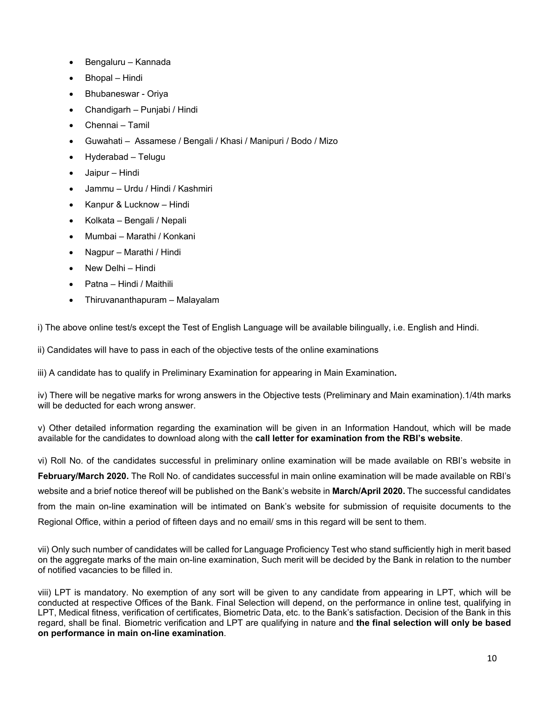- Bengaluru Kannada
- Bhopal Hindi
- Bhubaneswar Oriya
- Chandigarh Punjabi / Hindi
- Chennai Tamil
- Guwahati Assamese / Bengali / Khasi / Manipuri / Bodo / Mizo
- Hyderabad Telugu
- Jaipur Hindi
- Jammu Urdu / Hindi / Kashmiri
- Kanpur & Lucknow Hindi
- Kolkata Bengali / Nepali
- Mumbai Marathi / Konkani
- Nagpur Marathi / Hindi
- New Delhi Hindi
- Patna Hindi / Maithili
- Thiruvananthapuram Malayalam

i) The above online test/s except the Test of English Language will be available bilingually, i.e. English and Hindi.

ii) Candidates will have to pass in each of the objective tests of the online examinations

iii) A candidate has to qualify in Preliminary Examination for appearing in Main Examination**.** 

iv) There will be negative marks for wrong answers in the Objective tests (Preliminary and Main examination).1/4th marks will be deducted for each wrong answer.

v) Other detailed information regarding the examination will be given in an Information Handout, which will be made available for the candidates to download along with the **call letter for examination from the RBI's website**.

vi) Roll No. of the candidates successful in preliminary online examination will be made available on RBI's website in **February/March 2020.** The Roll No. of candidates successful in main online examination will be made available on RBI's website and a brief notice thereof will be published on the Bank's website in **March/April 2020.** The successful candidates from the main on-line examination will be intimated on Bank's website for submission of requisite documents to the Regional Office, within a period of fifteen days and no email/ sms in this regard will be sent to them.

vii) Only such number of candidates will be called for Language Proficiency Test who stand sufficiently high in merit based on the aggregate marks of the main on-line examination, Such merit will be decided by the Bank in relation to the number of notified vacancies to be filled in.

viii) LPT is mandatory. No exemption of any sort will be given to any candidate from appearing in LPT, which will be conducted at respective Offices of the Bank. Final Selection will depend, on the performance in online test, qualifying in LPT, Medical fitness, verification of certificates, Biometric Data, etc. to the Bank's satisfaction. Decision of the Bank in this regard, shall be final. Biometric verification and LPT are qualifying in nature and **the final selection will only be based on performance in main on-line examination**.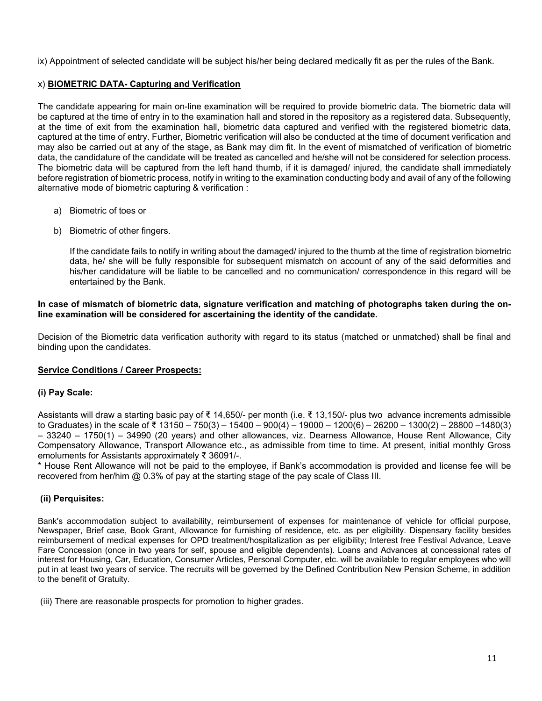ix) Appointment of selected candidate will be subject his/her being declared medically fit as per the rules of the Bank.

## x) **BIOMETRIC DATA- Capturing and Verification**

The candidate appearing for main on-line examination will be required to provide biometric data. The biometric data will be captured at the time of entry in to the examination hall and stored in the repository as a registered data. Subsequently, at the time of exit from the examination hall, biometric data captured and verified with the registered biometric data, captured at the time of entry. Further, Biometric verification will also be conducted at the time of document verification and may also be carried out at any of the stage, as Bank may dim fit. In the event of mismatched of verification of biometric data, the candidature of the candidate will be treated as cancelled and he/she will not be considered for selection process. The biometric data will be captured from the left hand thumb, if it is damaged/ injured, the candidate shall immediately before registration of biometric process, notify in writing to the examination conducting body and avail of any of the following alternative mode of biometric capturing & verification :

- a) Biometric of toes or
- b) Biometric of other fingers.

If the candidate fails to notify in writing about the damaged/ injured to the thumb at the time of registration biometric data, he/ she will be fully responsible for subsequent mismatch on account of any of the said deformities and his/her candidature will be liable to be cancelled and no communication/ correspondence in this regard will be entertained by the Bank.

#### **In case of mismatch of biometric data, signature verification and matching of photographs taken during the online examination will be considered for ascertaining the identity of the candidate.**

Decision of the Biometric data verification authority with regard to its status (matched or unmatched) shall be final and binding upon the candidates.

### **Service Conditions / Career Prospects:**

### **(i) Pay Scale:**

Assistants will draw a starting basic pay of ₹ 14,650/- per month (i.e. ₹ 13,150/- plus two advance increments admissible to Graduates) in the scale of ₹ 13150 – 750(3) – 15400 – 900(4) – 19000 – 1200(6) – 26200 – 1300(2) – 28800 –1480(3) – 33240 – 1750(1) – 34990 (20 years) and other allowances, viz. Dearness Allowance, House Rent Allowance, City Compensatory Allowance, Transport Allowance etc., as admissible from time to time. At present, initial monthly Gross emoluments for Assistants approximately ₹ 36091/-.

\* House Rent Allowance will not be paid to the employee, if Bank's accommodation is provided and license fee will be recovered from her/him @ 0.3% of pay at the starting stage of the pay scale of Class III.

### **(ii) Perquisites:**

Bank's accommodation subject to availability, reimbursement of expenses for maintenance of vehicle for official purpose, Newspaper, Brief case, Book Grant, Allowance for furnishing of residence, etc. as per eligibility. Dispensary facility besides reimbursement of medical expenses for OPD treatment/hospitalization as per eligibility; Interest free Festival Advance, Leave Fare Concession (once in two years for self, spouse and eligible dependents). Loans and Advances at concessional rates of interest for Housing, Car, Education, Consumer Articles, Personal Computer, etc. will be available to regular employees who will put in at least two years of service. The recruits will be governed by the Defined Contribution New Pension Scheme, in addition to the benefit of Gratuity.

(iii) There are reasonable prospects for promotion to higher grades.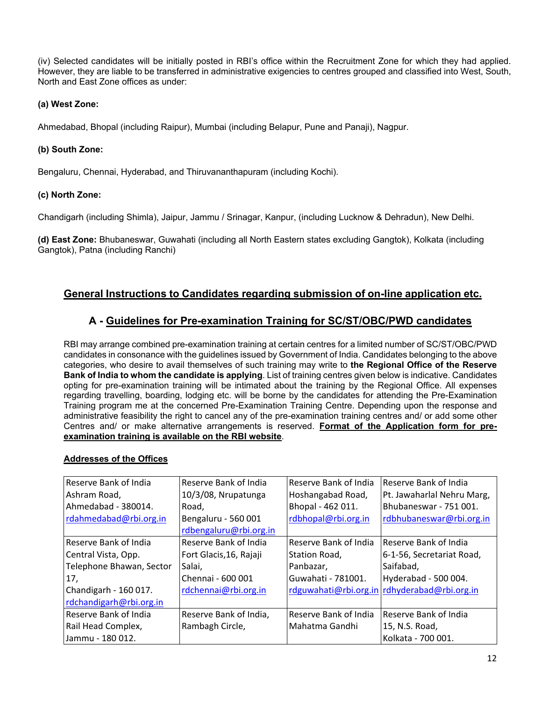(iv) Selected candidates will be initially posted in RBI's office within the Recruitment Zone for which they had applied. However, they are liable to be transferred in administrative exigencies to centres grouped and classified into West, South, North and East Zone offices as under:

## **(a) West Zone:**

Ahmedabad, Bhopal (including Raipur), Mumbai (including Belapur, Pune and Panaji), Nagpur.

## **(b) South Zone:**

Bengaluru, Chennai, Hyderabad, and Thiruvananthapuram (including Kochi).

## **(c) North Zone:**

Chandigarh (including Shimla), Jaipur, Jammu / Srinagar, Kanpur, (including Lucknow & Dehradun), New Delhi.

**(d) East Zone:** Bhubaneswar, Guwahati (including all North Eastern states excluding Gangtok), Kolkata (including Gangtok), Patna (including Ranchi)

## **General Instructions to Candidates regarding submission of on-line application etc.**

## **A - Guidelines for Pre-examination Training for SC/ST/OBC/PWD candidates**

RBI may arrange combined pre-examination training at certain centres for a limited number of SC/ST/OBC/PWD candidates in consonance with the guidelines issued by Government of India. Candidates belonging to the above categories, who desire to avail themselves of such training may write to **the Regional Office of the Reserve Bank of India to whom the candidate is applying**. List of training centres given below is indicative. Candidates opting for pre-examination training will be intimated about the training by the Regional Office. All expenses regarding travelling, boarding, lodging etc. will be borne by the candidates for attending the Pre-Examination Training program me at the concerned Pre-Examination Training Centre. Depending upon the response and administrative feasibility the right to cancel any of the pre-examination training centres and/ or add some other Centres and/ or make alternative arrangements is reserved. **[Format of the Application form for pre](http://rbidocs.rbi.org.in/rdocs/content/pdfs/PRERECR160714.pdf)[examination training is available on the RBI website](http://rbidocs.rbi.org.in/rdocs/content/pdfs/PRERECR160714.pdf)**.

### **Addresses of the Offices**

| Reserve Bank of India    | Reserve Bank of India   | Reserve Bank of India | Reserve Bank of India                        |
|--------------------------|-------------------------|-----------------------|----------------------------------------------|
| Ashram Road,             | 10/3/08, Nrupatunga     | Hoshangabad Road,     | Pt. Jawaharlal Nehru Marg,                   |
| Ahmedabad - 380014.      | Road,                   | Bhopal - 462 011.     | Bhubaneswar - 751 001.                       |
| rdahmedabad@rbi.org.in   | Bengaluru - 560 001     | rdbhopal@rbi.org.in   | rdbhubaneswar@rbi.org.in                     |
|                          | rdbengaluru@rbi.org.in  |                       |                                              |
| Reserve Bank of India    | Reserve Bank of India   | Reserve Bank of India | Reserve Bank of India                        |
| Central Vista, Opp.      | Fort Glacis, 16, Rajaji | Station Road,         | 6-1-56, Secretariat Road,                    |
| Telephone Bhawan, Sector | Salai,                  | Panbazar,             | Saifabad,                                    |
| 17,                      | Chennai - 600 001       | Guwahati - 781001.    | Hyderabad - 500 004.                         |
| Chandigarh - 160 017.    | rdchennai@rbi.org.in    |                       | rdguwahati@rbi.org.in rdhyderabad@rbi.org.in |
| rdchandigarh@rbi.org.in  |                         |                       |                                              |
| Reserve Bank of India    | Reserve Bank of India,  | Reserve Bank of India | Reserve Bank of India                        |
| Rail Head Complex,       | Rambagh Circle,         | Mahatma Gandhi        | 15, N.S. Road,                               |
| Jammu - 180 012.         |                         |                       | Kolkata - 700 001.                           |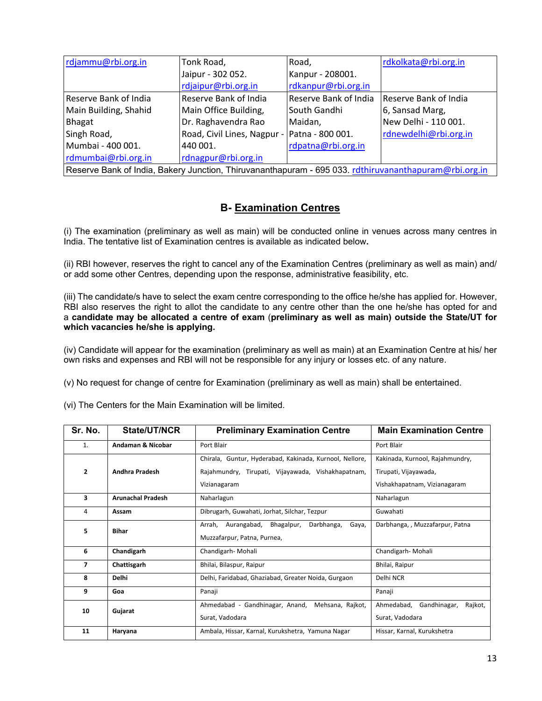| rdjammu@rbi.org.in                                                                                    | Tonk Road,                  | Road,                 | rdkolkata@rbi.org.in  |  |
|-------------------------------------------------------------------------------------------------------|-----------------------------|-----------------------|-----------------------|--|
|                                                                                                       | Jaipur - 302 052.           | Kanpur - 208001.      |                       |  |
|                                                                                                       | rdjaipur@rbi.org.in         | rdkanpur@rbi.org.in   |                       |  |
| Reserve Bank of India                                                                                 | Reserve Bank of India       | Reserve Bank of India | Reserve Bank of India |  |
| Main Building, Shahid                                                                                 | Main Office Building,       | South Gandhi          | 6, Sansad Marg,       |  |
| Bhagat                                                                                                | Dr. Raghavendra Rao         | Maidan,               | New Delhi - 110 001.  |  |
| Singh Road,                                                                                           | Road, Civil Lines, Nagpur - | Patna - 800 001.      | rdnewdelhi@rbi.org.in |  |
| Mumbai - 400 001.                                                                                     | 440 001.                    | rdpatna@rbi.org.in    |                       |  |
| rdmumbai@rbi.org.in                                                                                   | rdnagpur@rbi.org.in         |                       |                       |  |
| Reserve Bank of India, Bakery Junction, Thiruvananthapuram - 695 033. rdthiruvananthapuram@rbi.org.in |                             |                       |                       |  |

# **B- Examination Centres**

(i) The examination (preliminary as well as main) will be conducted online in venues across many centres in India. The tentative list of Examination centres is available as indicated below**.**

(ii) RBI however, reserves the right to cancel any of the Examination Centres (preliminary as well as main) and/ or add some other Centres, depending upon the response, administrative feasibility, etc.

(iii) The candidate/s have to select the exam centre corresponding to the office he/she has applied for. However, RBI also reserves the right to allot the candidate to any centre other than the one he/she has opted for and a **candidate may be allocated a centre of exam** (**preliminary as well as main) outside the State/UT for which vacancies he/she is applying.**

(iv) Candidate will appear for the examination (preliminary as well as main) at an Examination Centre at his/ her own risks and expenses and RBI will not be responsible for any injury or losses etc. of any nature.

(v) No request for change of centre for Examination (preliminary as well as main) shall be entertained.

| Sr. No.           | State/UT/NCR             | <b>Preliminary Examination Centre</b>                      | <b>Main Examination Centre</b>     |
|-------------------|--------------------------|------------------------------------------------------------|------------------------------------|
| 1.                | Andaman & Nicobar        | Port Blair                                                 | Port Blair                         |
|                   |                          | Chirala, Guntur, Hyderabad, Kakinada, Kurnool, Nellore,    | Kakinada, Kurnool, Rajahmundry,    |
| $\overline{2}$    | <b>Andhra Pradesh</b>    | Rajahmundry, Tirupati, Vijayawada, Vishakhapatnam,         | Tirupati, Vijayawada,              |
|                   |                          | Vizianagaram                                               | Vishakhapatnam, Vizianagaram       |
| 3                 | <b>Arunachal Pradesh</b> | Naharlagun                                                 | Naharlagun                         |
| 4                 | Assam                    | Dibrugarh, Guwahati, Jorhat, Silchar, Tezpur               | Guwahati                           |
| <b>Bihar</b><br>5 |                          | Aurangabad,<br>Bhagalpur,<br>Darbhanga,<br>Arrah,<br>Gaya, | Darbhanga, , Muzzafarpur, Patna    |
|                   |                          | Muzzafarpur, Patna, Purnea,                                |                                    |
| 6                 | Chandigarh               | Chandigarh-Mohali                                          | Chandigarh-Mohali                  |
| 7                 | Chattisgarh              | Bhilai, Bilaspur, Raipur                                   | Bhilai, Raipur                     |
| 8                 | <b>Delhi</b>             | Delhi, Faridabad, Ghaziabad, Greater Noida, Gurgaon        | Delhi NCR                          |
| 9                 | Goa                      | Panaji                                                     | Panaji                             |
| 10                | Gujarat                  | Ahmedabad - Gandhinagar, Anand,<br>Mehsana, Rajkot,        | Rajkot,<br>Ahmedabad, Gandhinagar, |
|                   |                          | Surat, Vadodara                                            | Surat, Vadodara                    |
| 11                | Haryana                  | Ambala, Hissar, Karnal, Kurukshetra, Yamuna Nagar          | Hissar, Karnal, Kurukshetra        |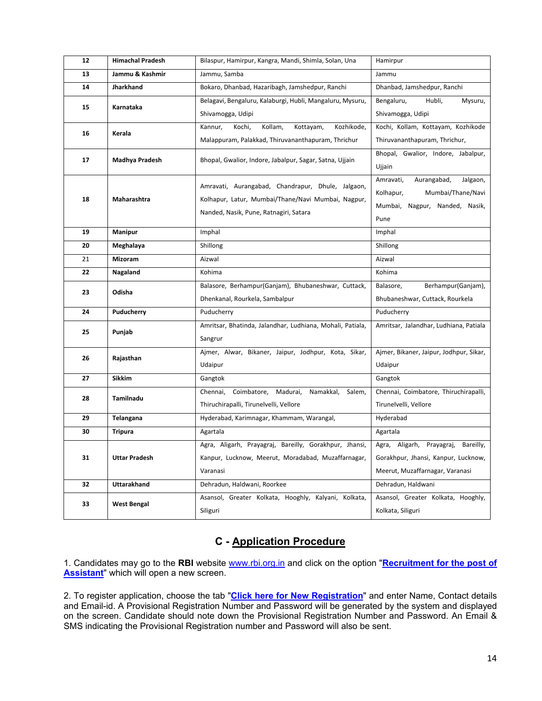| 12 | <b>Himachal Pradesh</b> | Bilaspur, Hamirpur, Kangra, Mandi, Shimla, Solan, Una      | Hamirpur                                |
|----|-------------------------|------------------------------------------------------------|-----------------------------------------|
| 13 | Jammu & Kashmir         | Jammu, Samba                                               | Jammu                                   |
| 14 | Jharkhand               | Bokaro, Dhanbad, Hazaribagh, Jamshedpur, Ranchi            | Dhanbad, Jamshedpur, Ranchi             |
| 15 | Karnataka               | Belagavi, Bengaluru, Kalaburgi, Hubli, Mangaluru, Mysuru,  | Bengaluru,<br>Hubli,<br>Mysuru,         |
|    |                         | Shivamogga, Udipi                                          | Shivamogga, Udipi                       |
| 16 | Kerala                  | Kochi,<br>Kollam,<br>Kottayam,<br>Kozhikode,<br>Kannur,    | Kochi, Kollam, Kottayam, Kozhikode      |
|    |                         | Malappuram, Palakkad, Thiruvananthapuram, Thrichur         | Thiruvananthapuram, Thrichur,           |
| 17 | Madhya Pradesh          | Bhopal, Gwalior, Indore, Jabalpur, Sagar, Satna, Ujjain    | Bhopal, Gwalior, Indore, Jabalpur,      |
|    |                         |                                                            | Ujjain                                  |
|    |                         | Amravati, Aurangabad, Chandrapur, Dhule, Jalgaon,          | Amravati,<br>Aurangabad,<br>Jalgaon,    |
| 18 | Maharashtra             | Kolhapur, Latur, Mumbai/Thane/Navi Mumbai, Nagpur,         | Kolhapur,<br>Mumbai/Thane/Navi          |
|    |                         | Nanded, Nasik, Pune, Ratnagiri, Satara                     | Mumbai,<br>Nagpur, Nanded, Nasik,       |
|    |                         |                                                            | Pune                                    |
| 19 | <b>Manipur</b>          | Imphal                                                     | Imphal                                  |
| 20 | Meghalaya               | Shillong                                                   | Shillong                                |
| 21 | Mizoram                 | Aizwal                                                     | Aizwal                                  |
| 22 | Nagaland                | Kohima                                                     | Kohima                                  |
| 23 | Odisha                  | Balasore, Berhampur(Ganjam), Bhubaneshwar, Cuttack,        | Berhampur(Ganjam),<br>Balasore,         |
|    |                         | Dhenkanal, Rourkela, Sambalpur                             | Bhubaneshwar, Cuttack, Rourkela         |
| 24 | Puducherry              | Puducherry                                                 | Puducherry                              |
| 25 | Punjab                  | Amritsar, Bhatinda, Jalandhar, Ludhiana, Mohali, Patiala,  | Amritsar, Jalandhar, Ludhiana, Patiala  |
|    |                         | Sangrur                                                    |                                         |
| 26 | Rajasthan               | Ajmer, Alwar, Bikaner, Jaipur, Jodhpur, Kota, Sikar,       | Ajmer, Bikaner, Jaipur, Jodhpur, Sikar, |
|    |                         | Udaipur                                                    | Udaipur                                 |
| 27 | Sikkim                  | Gangtok                                                    | Gangtok                                 |
| 28 | Tamilnadu               | Chennai,<br>Coimbatore,<br>Madurai,<br>Namakkal,<br>Salem, | Chennai, Coimbatore, Thiruchirapalli,   |
|    |                         | Thiruchirapalli, Tirunelvelli, Vellore                     | Tirunelvelli, Vellore                   |
| 29 | <b>Telangana</b>        | Hyderabad, Karimnagar, Khammam, Warangal,                  | Hyderabad                               |
| 30 | <b>Tripura</b>          | Agartala                                                   | Agartala                                |
|    |                         | Agra, Aligarh, Prayagraj, Bareilly, Gorakhpur, Jhansi,     | Agra, Aligarh, Prayagraj,<br>Bareilly,  |
| 31 | <b>Uttar Pradesh</b>    | Kanpur, Lucknow, Meerut, Moradabad, Muzaffarnagar,         | Gorakhpur, Jhansi, Kanpur, Lucknow,     |
|    |                         | Varanasi                                                   | Meerut, Muzaffarnagar, Varanasi         |
| 32 | <b>Uttarakhand</b>      | Dehradun, Haldwani, Roorkee                                | Dehradun, Haldwani                      |
| 33 | <b>West Bengal</b>      | Asansol, Greater Kolkata, Hooghly, Kalyani, Kolkata,       | Asansol, Greater Kolkata, Hooghly,      |
|    |                         | Siliguri                                                   | Kolkata, Siliguri                       |

# **C - Application Procedure**

1. Candidates may go to the **RBI** website [www.rbi.org.in](https://www.rbi.org.in/) and click on the option "**[Recruitment for the post of](https://ibpsonline.ibps.in/rbiasstnov19/)  [Assistant](https://ibpsonline.ibps.in/rbiasstnov19/)**" which will open a new screen.

2. To register application, choose the tab "**[Click here for New Registration](https://ibpsonline.ibps.in/rbiasstnov19/)**" and enter Name, Contact details and Email-id. A Provisional Registration Number and Password will be generated by the system and displayed on the screen. Candidate should note down the Provisional Registration Number and Password. An Email & SMS indicating the Provisional Registration number and Password will also be sent.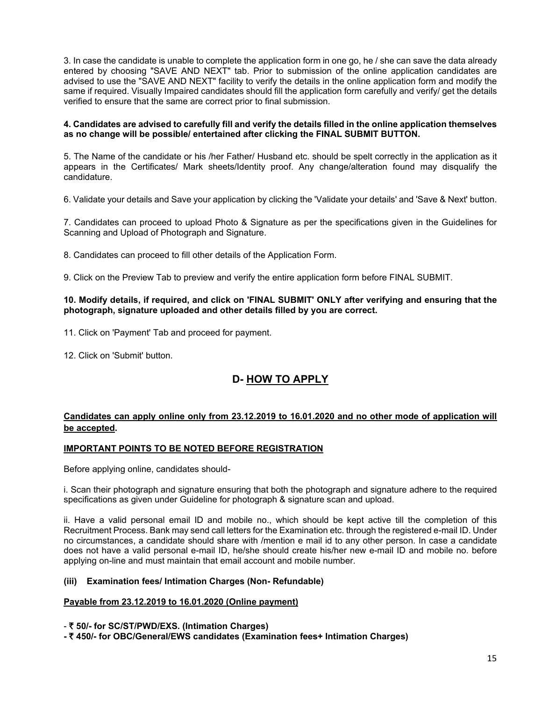3. In case the candidate is unable to complete the application form in one go, he / she can save the data already entered by choosing "SAVE AND NEXT" tab. Prior to submission of the online application candidates are advised to use the "SAVE AND NEXT" facility to verify the details in the online application form and modify the same if required. Visually Impaired candidates should fill the application form carefully and verify/ get the details verified to ensure that the same are correct prior to final submission.

#### **4. Candidates are advised to carefully fill and verify the details filled in the online application themselves as no change will be possible/ entertained after clicking the FINAL SUBMIT BUTTON.**

5. The Name of the candidate or his /her Father/ Husband etc. should be spelt correctly in the application as it appears in the Certificates/ Mark sheets/Identity proof. Any change/alteration found may disqualify the candidature.

6. Validate your details and Save your application by clicking the 'Validate your details' and 'Save & Next' button.

7. Candidates can proceed to upload Photo & Signature as per the specifications given in the Guidelines for Scanning and Upload of Photograph and Signature.

8. Candidates can proceed to fill other details of the Application Form.

9. Click on the Preview Tab to preview and verify the entire application form before FINAL SUBMIT.

#### **10. Modify details, if required, and click on 'FINAL SUBMIT' ONLY after verifying and ensuring that the photograph, signature uploaded and other details filled by you are correct.**

- 11. Click on 'Payment' Tab and proceed for payment.
- 12. Click on 'Submit' button.

# **D- HOW TO APPLY**

## **Candidates can apply online only from 23.12.2019 to 16.01.2020 and no other mode of application will be accepted.**

### **IMPORTANT POINTS TO BE NOTED BEFORE REGISTRATION**

Before applying online, candidates should-

i. Scan their photograph and signature ensuring that both the photograph and signature adhere to the required specifications as given under Guideline for photograph & signature scan and upload.

ii. Have a valid personal email ID and mobile no., which should be kept active till the completion of this Recruitment Process. Bank may send call letters for the Examination etc. through the registered e-mail ID. Under no circumstances, a candidate should share with /mention e mail id to any other person. In case a candidate does not have a valid personal e-mail ID, he/she should create his/her new e-mail ID and mobile no. before applying on-line and must maintain that email account and mobile number.

### **(iii) Examination fees/ Intimation Charges (Non- Refundable)**

### **Payable from 23.12.2019 to 16.01.2020 (Online payment)**

- ` **50/- for SC/ST/PWD/EXS. (Intimation Charges)**

**-** ` **450/- for OBC/General/EWS candidates (Examination fees+ Intimation Charges)**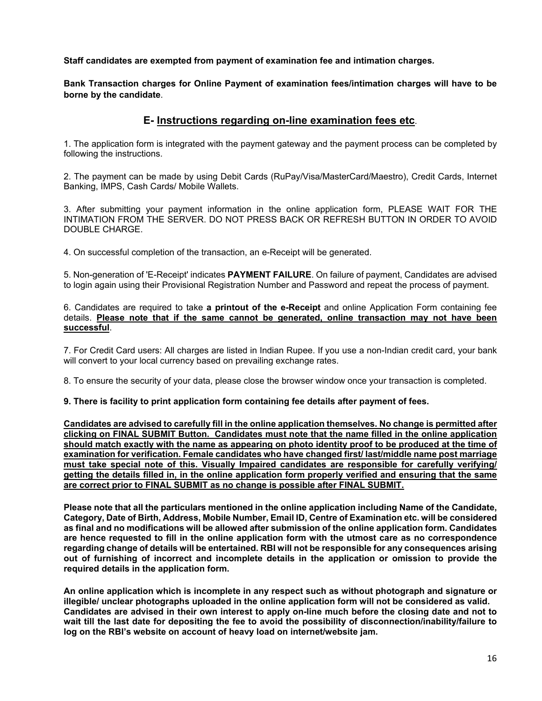**Staff candidates are exempted from payment of examination fee and intimation charges***.*

**Bank Transaction charges for Online Payment of examination fees/intimation charges will have to be borne by the candidate**.

## **E- Instructions regarding on-line examination fees etc**.

1. The application form is integrated with the payment gateway and the payment process can be completed by following the instructions.

2. The payment can be made by using Debit Cards (RuPay/Visa/MasterCard/Maestro), Credit Cards, Internet Banking, IMPS, Cash Cards/ Mobile Wallets.

3. After submitting your payment information in the online application form, PLEASE WAIT FOR THE INTIMATION FROM THE SERVER. DO NOT PRESS BACK OR REFRESH BUTTON IN ORDER TO AVOID DOUBLE CHARGE.

4. On successful completion of the transaction, an e-Receipt will be generated.

5. Non-generation of 'E-Receipt' indicates **PAYMENT FAILURE**. On failure of payment, Candidates are advised to login again using their Provisional Registration Number and Password and repeat the process of payment.

6. Candidates are required to take **a printout of the e-Receipt** and online Application Form containing fee details. **Please note that if the same cannot be generated, online transaction may not have been successful**.

7. For Credit Card users: All charges are listed in Indian Rupee. If you use a non-Indian credit card, your bank will convert to your local currency based on prevailing exchange rates.

8. To ensure the security of your data, please close the browser window once your transaction is completed.

#### **9. There is facility to print application form containing fee details after payment of fees.**

**Candidates are advised to carefully fill in the online application themselves. No change is permitted after clicking on FINAL SUBMIT Button. Candidates must note that the name filled in the online application should match exactly with the name as appearing on photo identity proof to be produced at the time of examination for verification. Female candidates who have changed first/ last/middle name post marriage must take special note of this. Visually Impaired candidates are responsible for carefully verifying/ getting the details filled in, in the online application form properly verified and ensuring that the same are correct prior to FINAL SUBMIT as no change is possible after FINAL SUBMIT.**

**Please note that all the particulars mentioned in the online application including Name of the Candidate, Category, Date of Birth, Address, Mobile Number, Email ID, Centre of Examination etc. will be considered as final and no modifications will be allowed after submission of the online application form. Candidates are hence requested to fill in the online application form with the utmost care as no correspondence regarding change of details will be entertained. RBI will not be responsible for any consequences arising out of furnishing of incorrect and incomplete details in the application or omission to provide the required details in the application form.**

**An online application which is incomplete in any respect such as without photograph and signature or illegible/ unclear photographs uploaded in the online application form will not be considered as valid. Candidates are advised in their own interest to apply on-line much before the closing date and not to wait till the last date for depositing the fee to avoid the possibility of disconnection/inability/failure to log on the RBI's website on account of heavy load on internet/website jam.**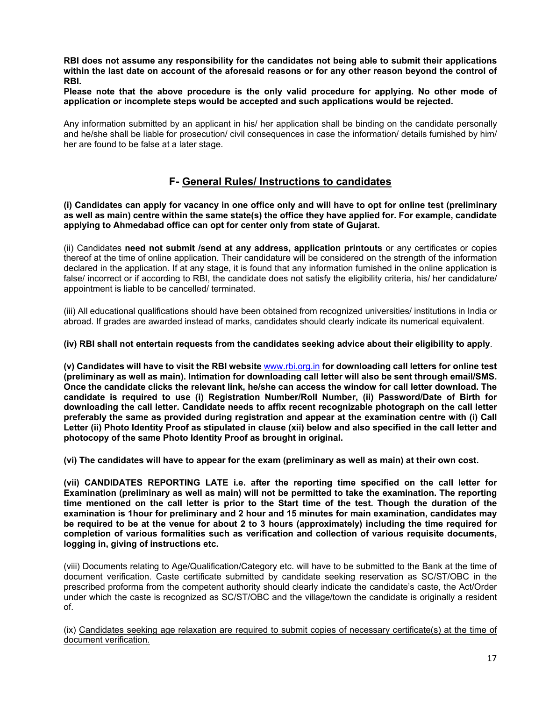**RBI does not assume any responsibility for the candidates not being able to submit their applications within the last date on account of the aforesaid reasons or for any other reason beyond the control of RBI.**

**Please note that the above procedure is the only valid procedure for applying. No other mode of application or incomplete steps would be accepted and such applications would be rejected.**

Any information submitted by an applicant in his/ her application shall be binding on the candidate personally and he/she shall be liable for prosecution/ civil consequences in case the information/ details furnished by him/ her are found to be false at a later stage.

## **F- General Rules/ Instructions to candidates**

**(i) Candidates can apply for vacancy in one office only and will have to opt for online test (preliminary as well as main) centre within the same state(s) the office they have applied for. For example, candidate applying to Ahmedabad office can opt for center only from state of Gujarat.**

(ii) Candidates **need not submit /send at any address, application printouts** or any certificates or copies thereof at the time of online application. Their candidature will be considered on the strength of the information declared in the application. If at any stage, it is found that any information furnished in the online application is false/ incorrect or if according to RBI, the candidate does not satisfy the eligibility criteria, his/ her candidature/ appointment is liable to be cancelled/ terminated.

(iii) All educational qualifications should have been obtained from recognized universities/ institutions in India or abroad. If grades are awarded instead of marks, candidates should clearly indicate its numerical equivalent.

#### **(iv) RBI shall not entertain requests from the candidates seeking advice about their eligibility to apply**.

**(v) Candidates will have to visit the RBI website** [www.rbi.org.in](https://www.rbi.org.in/) **for downloading call letters for online test (preliminary as well as main). Intimation for downloading call letter will also be sent through email/SMS. Once the candidate clicks the relevant link, he/she can access the window for call letter download. The candidate is required to use (i) Registration Number/Roll Number, (ii) Password/Date of Birth for downloading the call letter. Candidate needs to affix recent recognizable photograph on the call letter preferably the same as provided during registration and appear at the examination centre with (i) Call Letter (ii) Photo Identity Proof as stipulated in clause (xii) below and also specified in the call letter and photocopy of the same Photo Identity Proof as brought in original.**

**(vi) The candidates will have to appear for the exam (preliminary as well as main) at their own cost.** 

**(vii) CANDIDATES REPORTING LATE i.e. after the reporting time specified on the call letter for Examination (preliminary as well as main) will not be permitted to take the examination. The reporting time mentioned on the call letter is prior to the Start time of the test. Though the duration of the examination is 1hour for preliminary and 2 hour and 15 minutes for main examination, candidates may be required to be at the venue for about 2 to 3 hours (approximately) including the time required for completion of various formalities such as verification and collection of various requisite documents, logging in, giving of instructions etc.**

(viii) Documents relating to Age/Qualification/Category etc. will have to be submitted to the Bank at the time of document verification. Caste certificate submitted by candidate seeking reservation as SC/ST/OBC in the prescribed proforma from the competent authority should clearly indicate the candidate's caste, the Act/Order under which the caste is recognized as SC/ST/OBC and the village/town the candidate is originally a resident of.

(ix) Candidates seeking age relaxation are required to submit copies of necessary certificate(s) at the time of document verification.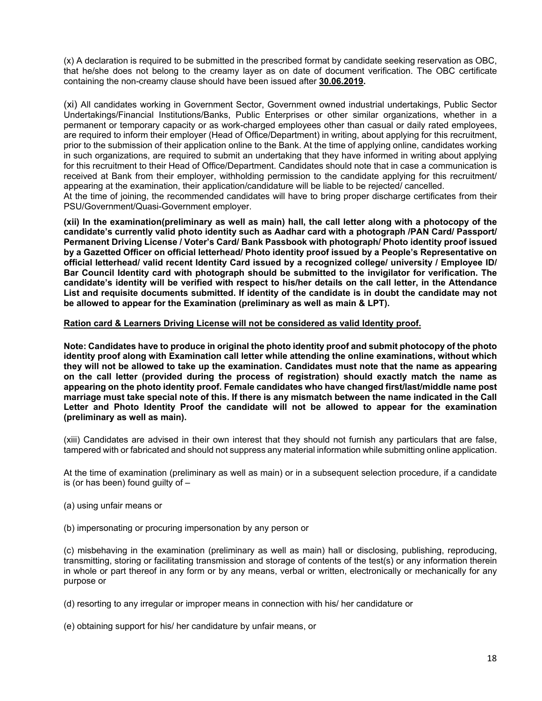(x) A declaration is required to be submitted in the prescribed format by candidate seeking reservation as OBC, that he/she does not belong to the creamy layer as on date of document verification. The OBC certificate containing the non-creamy clause should have been issued after **30.06.2019.**

(xi) All candidates working in Government Sector, Government owned industrial undertakings, Public Sector Undertakings/Financial Institutions/Banks, Public Enterprises or other similar organizations, whether in a permanent or temporary capacity or as work-charged employees other than casual or daily rated employees, are required to inform their employer (Head of Office/Department) in writing, about applying for this recruitment, prior to the submission of their application online to the Bank. At the time of applying online, candidates working in such organizations, are required to submit an undertaking that they have informed in writing about applying for this recruitment to their Head of Office/Department. Candidates should note that in case a communication is received at Bank from their employer, withholding permission to the candidate applying for this recruitment/ appearing at the examination, their application/candidature will be liable to be rejected/ cancelled. At the time of joining, the recommended candidates will have to bring proper discharge certificates from their PSU/Government/Quasi-Government employer.

**(xii) In the examination(preliminary as well as main) hall, the call letter along with a photocopy of the candidate's currently valid photo identity such as Aadhar card with a photograph /PAN Card/ Passport/ Permanent Driving License / Voter's Card/ Bank Passbook with photograph/ Photo identity proof issued by a Gazetted Officer on official letterhead/ Photo identity proof issued by a People's Representative on official letterhead/ valid recent Identity Card issued by a recognized college/ university / Employee ID/ Bar Council Identity card with photograph should be submitted to the invigilator for verification. The candidate's identity will be verified with respect to his/her details on the call letter, in the Attendance List and requisite documents submitted. If identity of the candidate is in doubt the candidate may not be allowed to appear for the Examination (preliminary as well as main & LPT).** 

#### **Ration card & Learners Driving License will not be considered as valid Identity proof.**

**Note: Candidates have to produce in original the photo identity proof and submit photocopy of the photo identity proof along with Examination call letter while attending the online examinations, without which they will not be allowed to take up the examination. Candidates must note that the name as appearing on the call letter (provided during the process of registration) should exactly match the name as appearing on the photo identity proof. Female candidates who have changed first/last/middle name post marriage must take special note of this. If there is any mismatch between the name indicated in the Call Letter and Photo Identity Proof the candidate will not be allowed to appear for the examination (preliminary as well as main).**

(xiii) Candidates are advised in their own interest that they should not furnish any particulars that are false, tampered with or fabricated and should not suppress any material information while submitting online application.

At the time of examination (preliminary as well as main) or in a subsequent selection procedure, if a candidate is (or has been) found guilty of –

- (a) using unfair means or
- (b) impersonating or procuring impersonation by any person or

(c) misbehaving in the examination (preliminary as well as main) hall or disclosing, publishing, reproducing, transmitting, storing or facilitating transmission and storage of contents of the test(s) or any information therein in whole or part thereof in any form or by any means, verbal or written, electronically or mechanically for any purpose or

(d) resorting to any irregular or improper means in connection with his/ her candidature or

(e) obtaining support for his/ her candidature by unfair means, or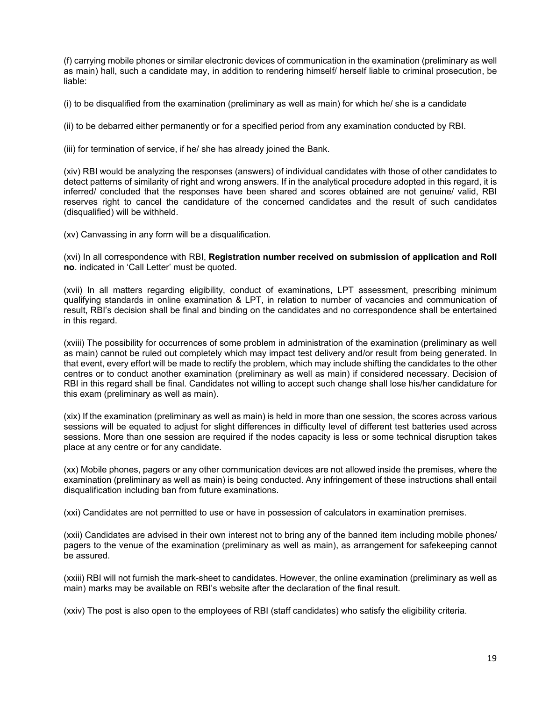(f) carrying mobile phones or similar electronic devices of communication in the examination (preliminary as well as main) hall, such a candidate may, in addition to rendering himself/ herself liable to criminal prosecution, be liable:

(i) to be disqualified from the examination (preliminary as well as main) for which he/ she is a candidate

(ii) to be debarred either permanently or for a specified period from any examination conducted by RBI.

(iii) for termination of service, if he/ she has already joined the Bank.

(xiv) RBI would be analyzing the responses (answers) of individual candidates with those of other candidates to detect patterns of similarity of right and wrong answers. If in the analytical procedure adopted in this regard, it is inferred/ concluded that the responses have been shared and scores obtained are not genuine/ valid, RBI reserves right to cancel the candidature of the concerned candidates and the result of such candidates (disqualified) will be withheld.

(xv) Canvassing in any form will be a disqualification.

(xvi) In all correspondence with RBI, **Registration number received on submission of application and Roll no**. indicated in 'Call Letter' must be quoted.

(xvii) In all matters regarding eligibility, conduct of examinations, LPT assessment, prescribing minimum qualifying standards in online examination & LPT, in relation to number of vacancies and communication of result, RBI's decision shall be final and binding on the candidates and no correspondence shall be entertained in this regard.

(xviii) The possibility for occurrences of some problem in administration of the examination (preliminary as well as main) cannot be ruled out completely which may impact test delivery and/or result from being generated. In that event, every effort will be made to rectify the problem, which may include shifting the candidates to the other centres or to conduct another examination (preliminary as well as main) if considered necessary. Decision of RBI in this regard shall be final. Candidates not willing to accept such change shall lose his/her candidature for this exam (preliminary as well as main).

(xix) If the examination (preliminary as well as main) is held in more than one session, the scores across various sessions will be equated to adjust for slight differences in difficulty level of different test batteries used across sessions. More than one session are required if the nodes capacity is less or some technical disruption takes place at any centre or for any candidate.

(xx) Mobile phones, pagers or any other communication devices are not allowed inside the premises, where the examination (preliminary as well as main) is being conducted. Any infringement of these instructions shall entail disqualification including ban from future examinations.

(xxi) Candidates are not permitted to use or have in possession of calculators in examination premises.

(xxii) Candidates are advised in their own interest not to bring any of the banned item including mobile phones/ pagers to the venue of the examination (preliminary as well as main), as arrangement for safekeeping cannot be assured.

(xxiii) RBI will not furnish the mark-sheet to candidates. However, the online examination (preliminary as well as main) marks may be available on RBI's website after the declaration of the final result.

(xxiv) The post is also open to the employees of RBI (staff candidates) who satisfy the eligibility criteria.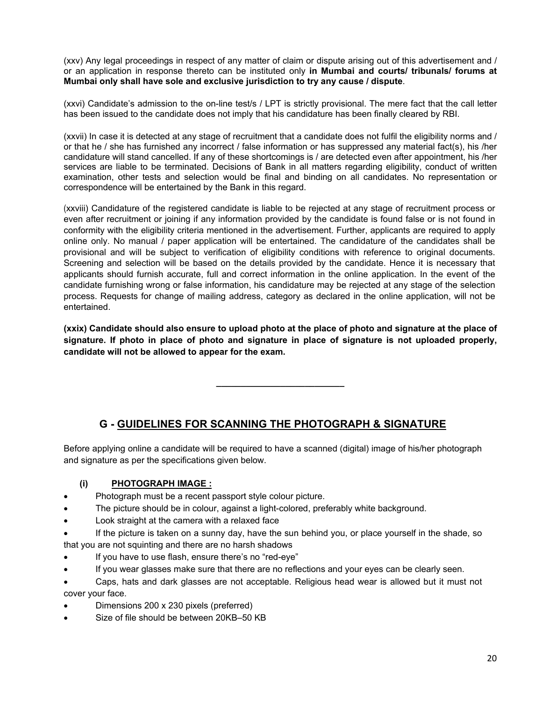(xxv) Any legal proceedings in respect of any matter of claim or dispute arising out of this advertisement and / or an application in response thereto can be instituted only **in Mumbai and courts/ tribunals/ forums at Mumbai only shall have sole and exclusive jurisdiction to try any cause / dispute**.

(xxvi) Candidate's admission to the on-line test/s / LPT is strictly provisional. The mere fact that the call letter has been issued to the candidate does not imply that his candidature has been finally cleared by RBI.

(xxvii) In case it is detected at any stage of recruitment that a candidate does not fulfil the eligibility norms and / or that he / she has furnished any incorrect / false information or has suppressed any material fact(s), his /her candidature will stand cancelled. If any of these shortcomings is / are detected even after appointment, his /her services are liable to be terminated. Decisions of Bank in all matters regarding eligibility, conduct of written examination, other tests and selection would be final and binding on all candidates. No representation or correspondence will be entertained by the Bank in this regard.

(xxviii) Candidature of the registered candidate is liable to be rejected at any stage of recruitment process or even after recruitment or joining if any information provided by the candidate is found false or is not found in conformity with the eligibility criteria mentioned in the advertisement. Further, applicants are required to apply online only. No manual / paper application will be entertained. The candidature of the candidates shall be provisional and will be subject to verification of eligibility conditions with reference to original documents. Screening and selection will be based on the details provided by the candidate. Hence it is necessary that applicants should furnish accurate, full and correct information in the online application. In the event of the candidate furnishing wrong or false information, his candidature may be rejected at any stage of the selection process. Requests for change of mailing address, category as declared in the online application, will not be entertained.

**(xxix) Candidate should also ensure to upload photo at the place of photo and signature at the place of signature. If photo in place of photo and signature in place of signature is not uploaded properly, candidate will not be allowed to appear for the exam.**

**\_\_\_\_\_\_\_\_\_\_\_\_\_\_\_\_\_\_\_\_\_\_\_\_\_\_**

# **G - GUIDELINES FOR SCANNING THE PHOTOGRAPH & SIGNATURE**

Before applying online a candidate will be required to have a scanned (digital) image of his/her photograph and signature as per the specifications given below.

### **(i) PHOTOGRAPH IMAGE :**

- Photograph must be a recent passport style colour picture.
- The picture should be in colour, against a light-colored, preferably white background.
- Look straight at the camera with a relaxed face
- If the picture is taken on a sunny day, have the sun behind you, or place yourself in the shade, so that you are not squinting and there are no harsh shadows
- If you have to use flash, ensure there's no "red-eye"
- If you wear glasses make sure that there are no reflections and your eyes can be clearly seen.

• Caps, hats and dark glasses are not acceptable. Religious head wear is allowed but it must not cover your face.

- Dimensions 200 x 230 pixels (preferred)
- Size of file should be between 20KB-50 KB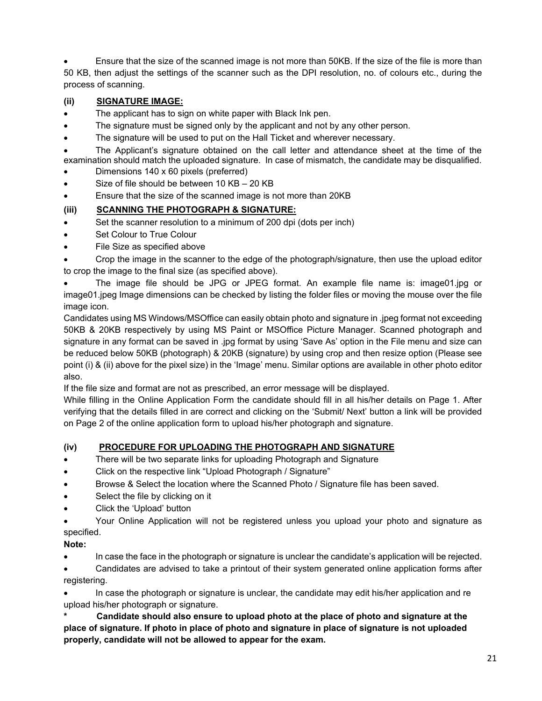• Ensure that the size of the scanned image is not more than 50KB. If the size of the file is more than 50 KB, then adjust the settings of the scanner such as the DPI resolution, no. of colours etc., during the process of scanning.

## **(ii) SIGNATURE IMAGE:**

- The applicant has to sign on white paper with Black Ink pen.
- The signature must be signed only by the applicant and not by any other person.
- The signature will be used to put on the Hall Ticket and wherever necessary.

• The Applicant's signature obtained on the call letter and attendance sheet at the time of the examination should match the uploaded signature. In case of mismatch, the candidate may be disqualified.

- Dimensions 140 x 60 pixels (preferred)
- Size of file should be between 10 KB 20 KB
- Ensure that the size of the scanned image is not more than 20KB

## **(iii) SCANNING THE PHOTOGRAPH & SIGNATURE:**

- Set the scanner resolution to a minimum of 200 dpi (dots per inch)
- Set Colour to True Colour
- File Size as specified above

• Crop the image in the scanner to the edge of the photograph/signature, then use the upload editor to crop the image to the final size (as specified above).

• The image file should be JPG or JPEG format. An example file name is: image01.jpg or image01.jpeg Image dimensions can be checked by listing the folder files or moving the mouse over the file image icon.

Candidates using MS Windows/MSOffice can easily obtain photo and signature in .jpeg format not exceeding 50KB & 20KB respectively by using MS Paint or MSOffice Picture Manager. Scanned photograph and signature in any format can be saved in .jpg format by using 'Save As' option in the File menu and size can be reduced below 50KB (photograph) & 20KB (signature) by using crop and then resize option (Please see point (i) & (ii) above for the pixel size) in the 'Image' menu. Similar options are available in other photo editor also.

If the file size and format are not as prescribed, an error message will be displayed.

While filling in the Online Application Form the candidate should fill in all his/her details on Page 1. After verifying that the details filled in are correct and clicking on the 'Submit/ Next' button a link will be provided on Page 2 of the online application form to upload his/her photograph and signature.

### **(iv) PROCEDURE FOR UPLOADING THE PHOTOGRAPH AND SIGNATURE**

- There will be two separate links for uploading Photograph and Signature
- Click on the respective link "Upload Photograph / Signature"
- Browse & Select the location where the Scanned Photo / Signature file has been saved.
- Select the file by clicking on it
- Click the 'Upload' button

• Your Online Application will not be registered unless you upload your photo and signature as specified.

### **Note:**

• In case the face in the photograph or signature is unclear the candidate's application will be rejected.

• Candidates are advised to take a printout of their system generated online application forms after registering.

• In case the photograph or signature is unclear, the candidate may edit his/her application and re upload his/her photograph or signature.

**\* Candidate should also ensure to upload photo at the place of photo and signature at the place of signature. If photo in place of photo and signature in place of signature is not uploaded properly, candidate will not be allowed to appear for the exam.**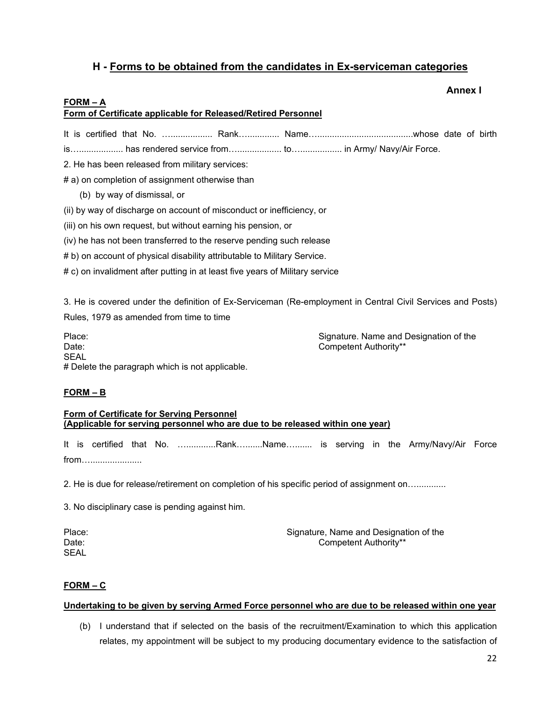## **H - Forms to be obtained from the candidates in Ex-serviceman categories**

## **Annex I**

### <span id="page-21-0"></span>**FORM – A**

## **Form of Certificate applicable for Released/Retired Personnel**

It is certified that No. …................. Rank…............. Name….......................................whose date of birth

is….................. has rendered service from….................. to…................. in Army/ Navy/Air Force.

2. He has been released from military services:

# a) on completion of assignment otherwise than

(b) by way of dismissal, or

(ii) by way of discharge on account of misconduct or inefficiency, or

- (iii) on his own request, but without earning his pension, or
- (iv) he has not been transferred to the reserve pending such release
- # b) on account of physical disability attributable to Military Service.

# c) on invalidment after putting in at least five years of Military service

3. He is covered under the definition of Ex-Serviceman (Re-employment in Central Civil Services and Posts) Rules, 1979 as amended from time to time

Place: Signature. Name and Designation of the Date: Competent Authority\*\* SEAL # Delete the paragraph which is not applicable.

### **FORM – B**

#### **Form of Certificate for Serving Personnel (Applicable for serving personnel who are due to be released within one year)**

It is certified that No. …............Rank….......Name…....... is serving in the Army/Navy/Air Force from….....................

2. He is due for release/retirement on completion of his specific period of assignment on…............

3. No disciplinary case is pending against him.

**SEAL** 

Place: Signature, Name and Designation of the Signature, Name and Designation of the Date: Competent Authority\*\*

#### **FORM – C**

#### **Undertaking to be given by serving Armed Force personnel who are due to be released within one year**

(b) I understand that if selected on the basis of the recruitment/Examination to which this application relates, my appointment will be subject to my producing documentary evidence to the satisfaction of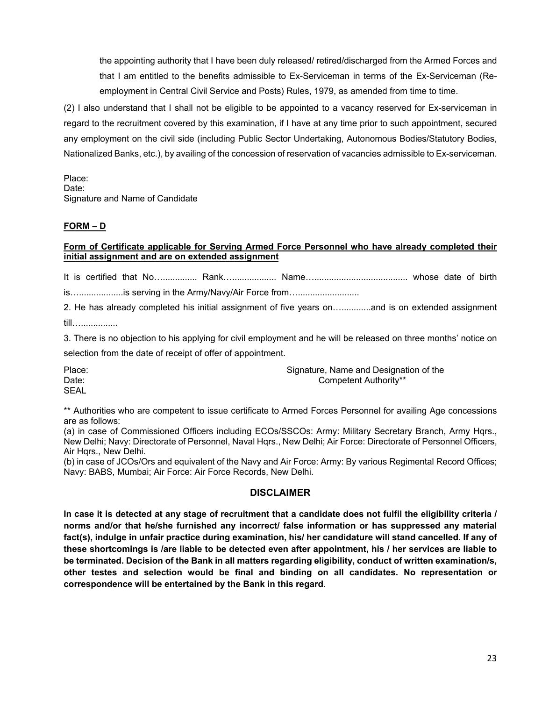the appointing authority that I have been duly released/ retired/discharged from the Armed Forces and that I am entitled to the benefits admissible to Ex-Serviceman in terms of the Ex-Serviceman (Reemployment in Central Civil Service and Posts) Rules, 1979, as amended from time to time.

(2) I also understand that I shall not be eligible to be appointed to a vacancy reserved for Ex-serviceman in regard to the recruitment covered by this examination, if I have at any time prior to such appointment, secured any employment on the civil side (including Public Sector Undertaking, Autonomous Bodies/Statutory Bodies, Nationalized Banks, etc.), by availing of the concession of reservation of vacancies admissible to Ex-serviceman.

Place: Date: Signature and Name of Candidate

## **FORM – D**

### **Form of Certificate applicable for Serving Armed Force Personnel who have already completed their initial assignment and are on extended assignment**

It is certified that No….............. Rank….................. Name…...................................... whose date of birth

is.....................is serving in the Army/Navy/Air Force from.............................

2. He has already completed his initial assignment of five years on…............and is on extended assignment till…...............

3. There is no objection to his applying for civil employment and he will be released on three months' notice on selection from the date of receipt of offer of appointment.

| Place:      | Signature, Name and Designation of the |
|-------------|----------------------------------------|
| Date:       | Competent Authority**                  |
| <b>SEAL</b> |                                        |

\*\* Authorities who are competent to issue certificate to Armed Forces Personnel for availing Age concessions are as follows:

(a) in case of Commissioned Officers including ECOs/SSCOs: Army: Military Secretary Branch, Army Hqrs., New Delhi; Navy: Directorate of Personnel, Naval Hqrs., New Delhi; Air Force: Directorate of Personnel Officers, Air Hqrs., New Delhi.

(b) in case of JCOs/Ors and equivalent of the Navy and Air Force: Army: By various Regimental Record Offices; Navy: BABS, Mumbai; Air Force: Air Force Records, New Delhi.

## **DISCLAIMER**

**In case it is detected at any stage of recruitment that a candidate does not fulfil the eligibility criteria / norms and/or that he/she furnished any incorrect/ false information or has suppressed any material fact(s), indulge in unfair practice during examination, his/ her candidature will stand cancelled. If any of these shortcomings is /are liable to be detected even after appointment, his / her services are liable to be terminated. Decision of the Bank in all matters regarding eligibility, conduct of written examination/s, other testes and selection would be final and binding on all candidates. No representation or correspondence will be entertained by the Bank in this regard**.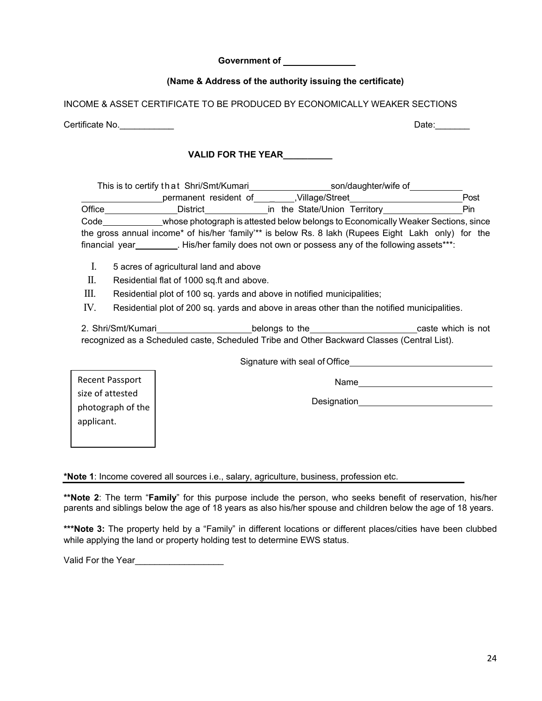24

**Government of**

## **(Name & Address of the authority issuing the certificate)**

INCOME & ASSET CERTIFICATE TO BE PRODUCED BY ECONOMICALLY WEAKER SECTIONS

Certificate No.\_\_\_\_\_\_\_\_\_\_\_ Date:\_\_\_\_\_\_\_

## **VALID FOR THE YEAR\_\_\_\_\_\_\_\_\_\_**

|                | This is to certify that Shri/Smt/Kumari                                                             | son/daughter/wife of         |  |      |
|----------------|-----------------------------------------------------------------------------------------------------|------------------------------|--|------|
|                | permanent resident of                                                                               | Village/Street,              |  | Post |
| Office         | District                                                                                            | in the State/Union Territory |  | Pin  |
| Code           | whose photograph is attested below belongs to Economically Weaker Sections, since                   |                              |  |      |
|                | the gross annual income* of his/her 'family'** is below Rs. 8 lakh (Rupees Eight Lakh only) for the |                              |  |      |
| financial year | . His/her family does not own or possess any of the following assets***:                            |                              |  |      |

- I. 5 acres of agricultural land and above
- II. Residential flat of 1000 sq.ft and above.
- III. Residential plot of 100 sq. yards and above in notified municipalities;
- IV. Residential plot of 200 sq. yards and above in areas other than the notified municipalities.

2. Shri/Smt/Kumari **belongs to the caste which is not** caste which is not recognized as a Scheduled caste, Scheduled Tribe and Other Backward Classes (Central List).

Signature with seal of Office

Name and the state of the state of the state of the state of the state of the state of the state of the state of the state of the state of the state of the state of the state of the state of the state of the state of the s

Designation

Recent Passport size of attested photograph of the applicant.

**\*Note 1**: Income covered all sources i.e., salary, agriculture, business, profession etc.

**\*\*Note 2**: The term "**Family**" for this purpose include the person, who seeks benefit of reservation, his/her parents and siblings below the age of 18 years as also his/her spouse and children below the age of 18 years.

**\*\*\*Note 3:** The property held by a "Family" in different locations or different places/cities have been clubbed while applying the land or property holding test to determine EWS status.

Valid For the Year\_\_\_\_\_\_\_\_\_\_\_\_\_\_\_\_\_\_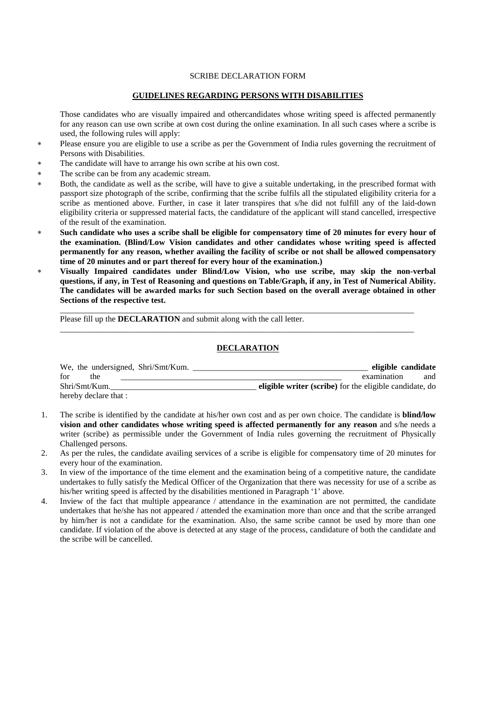#### SCRIBE DECLARATION FORM

#### **GUIDELINES REGARDING PERSONS WITH DISABILITIES**

Those candidates who are visually impaired and othercandidates whose writing speed is affected permanently for any reason can use own scribe at own cost during the online examination. In all such cases where a scribe is used, the following rules will apply:

- Please ensure you are eligible to use a scribe as per the Government of India rules governing the recruitment of Persons with Disabilities.
- The candidate will have to arrange his own scribe at his own cost.
- ∗ The scribe can be from any academic stream.
- Both, the candidate as well as the scribe, will have to give a suitable undertaking, in the prescribed format with passport size photograph of the scribe, confirming that the scribe fulfils all the stipulated eligibility criteria for a scribe as mentioned above. Further, in case it later transpires that s/he did not fulfill any of the laid-down eligibility criteria or suppressed material facts, the candidature of the applicant will stand cancelled, irrespective of the result of the examination.
- Such candidate who uses a scribe shall be eligible for compensatory time of 20 minutes for every hour of **the examination. (Blind/Low Vision candidates and other candidates whose writing speed is affected permanently for any reason, whether availing the facility of scribe or not shall be allowed compensatory time of 20 minutes and or part thereof for every hour of the examination.)**
- ∗ **Visually Impaired candidates under Blind/Low Vision, who use scribe, may skip the non-verbal questions, if any, in Test of Reasoning and questions on Table/Graph, if any, in Test of Numerical Ability. The candidates will be awarded marks for such Section based on the overall average obtained in other Sections of the respective test.**

\_\_\_\_\_\_\_\_\_\_\_\_\_\_\_\_\_\_\_\_\_\_\_\_\_\_\_\_\_\_\_\_\_\_\_\_\_\_\_\_\_\_\_\_\_\_\_\_\_\_\_\_\_\_\_\_\_\_\_\_\_\_\_\_\_\_\_\_\_\_\_\_\_\_\_\_\_\_\_\_\_\_\_\_\_

\_\_\_\_\_\_\_\_\_\_\_\_\_\_\_\_\_\_\_\_\_\_\_\_\_\_\_\_\_\_\_\_\_\_\_\_\_\_\_\_\_\_\_\_\_\_\_\_\_\_\_\_\_\_\_\_\_\_\_\_\_\_\_\_\_\_\_\_\_\_\_\_\_\_\_\_\_\_\_\_\_\_\_\_\_

Please fill up the **DECLARATION** and submit along with the call letter.

#### **DECLARATION**

| We, the undersigned, Shri/Smt/Kum. | eligible candidate                                      |
|------------------------------------|---------------------------------------------------------|
| for<br>the                         | examination<br>and                                      |
| Shri/Smt/Kum.                      | eligible writer (scribe) for the eligible candidate, do |
| hereby declare that :              |                                                         |

- 1. The scribe is identified by the candidate at his/her own cost and as per own choice. The candidate is **blind/low vision and other candidates whose writing speed is affected permanently for any reason** and s/he needs a writer (scribe) as permissible under the Government of India rules governing the recruitment of Physically Challenged persons.
- 2. As per the rules, the candidate availing services of a scribe is eligible for compensatory time of 20 minutes for every hour of the examination.
- 3. In view of the importance of the time element and the examination being of a competitive nature, the candidate undertakes to fully satisfy the Medical Officer of the Organization that there was necessity for use of a scribe as his/her writing speed is affected by the disabilities mentioned in Paragraph '1' above.
- 4. Inview of the fact that multiple appearance / attendance in the examination are not permitted, the candidate undertakes that he/she has not appeared / attended the examination more than once and that the scribe arranged by him/her is not a candidate for the examination. Also, the same scribe cannot be used by more than one candidate. If violation of the above is detected at any stage of the process, candidature of both the candidate and the scribe will be cancelled.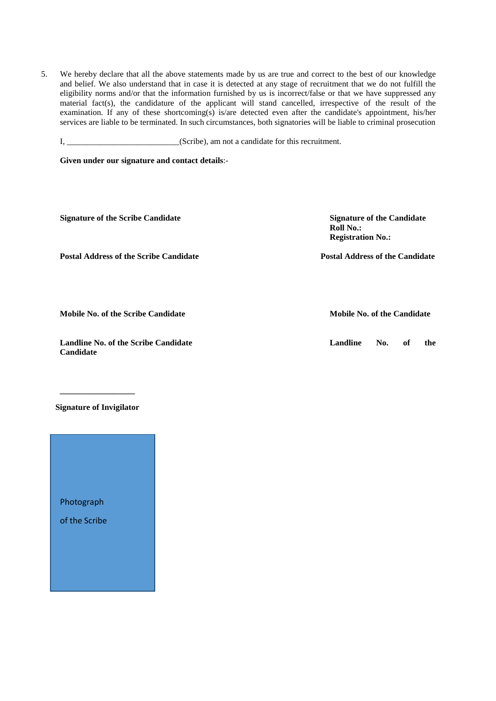5. We hereby declare that all the above statements made by us are true and correct to the best of our knowledge and belief. We also understand that in case it is detected at any stage of recruitment that we do not fulfill the eligibility norms and/or that the information furnished by us is incorrect/false or that we have suppressed any material fact(s), the candidature of the applicant will stand cancelled, irrespective of the result of the examination. If any of these shortcoming(s) is/are detected even after the candidate's appointment, his/her services are liable to be terminated. In such circumstances, both signatories will be liable to criminal prosecution

I, \_\_\_\_\_\_\_\_\_\_\_\_\_\_\_\_\_\_\_\_\_(Scribe), am not a candidate for this recruitment.

**Given under our signature and contact details**:-

| <b>Signature of the Scribe Candidate</b>      | <b>Signature of the Candidate</b><br>Roll No.:<br><b>Registration No.:</b> |  |  |  |  |
|-----------------------------------------------|----------------------------------------------------------------------------|--|--|--|--|
| <b>Postal Address of the Scribe Candidate</b> | <b>Postal Address of the Candidate</b>                                     |  |  |  |  |
|                                               |                                                                            |  |  |  |  |

**Mobile No. of the Scribe Candidate Mobile No. of the Candidate** 

**Landline No. of the Scribe Candidate Landline No. of the Candidate** 

**Signature of Invigilator**

**\_\_\_\_\_\_\_\_\_\_\_\_\_\_\_\_\_\_** 

Photograph

of the Scribe